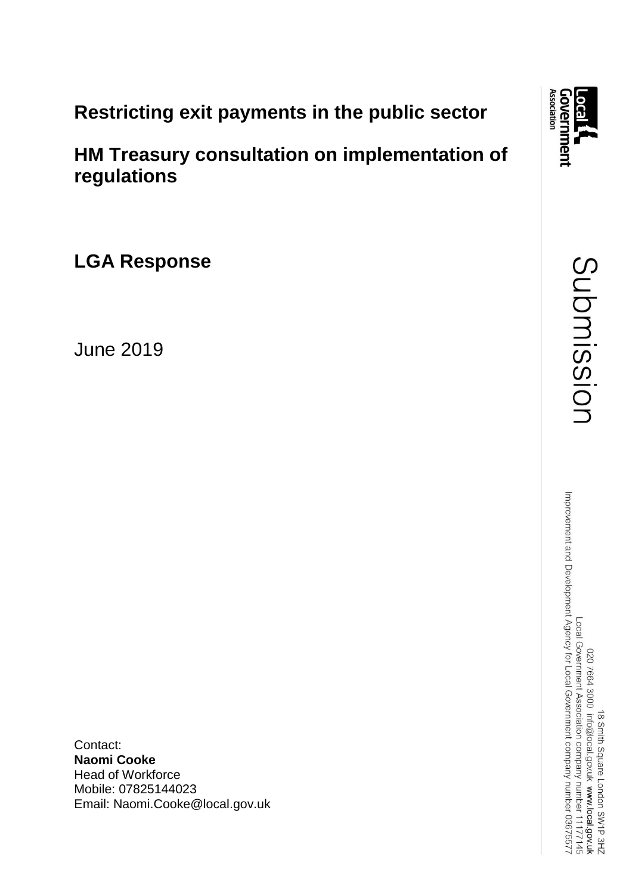**Restricting exit payments in the public sector**

**HM Treasury consultation on implementation of regulations**

**LGA Response** 

June 2019

Contact: **Naomi Cooke** Head of Workforce Mobile: 07825144023 Email: Naomi.Cooke@local.gov.uk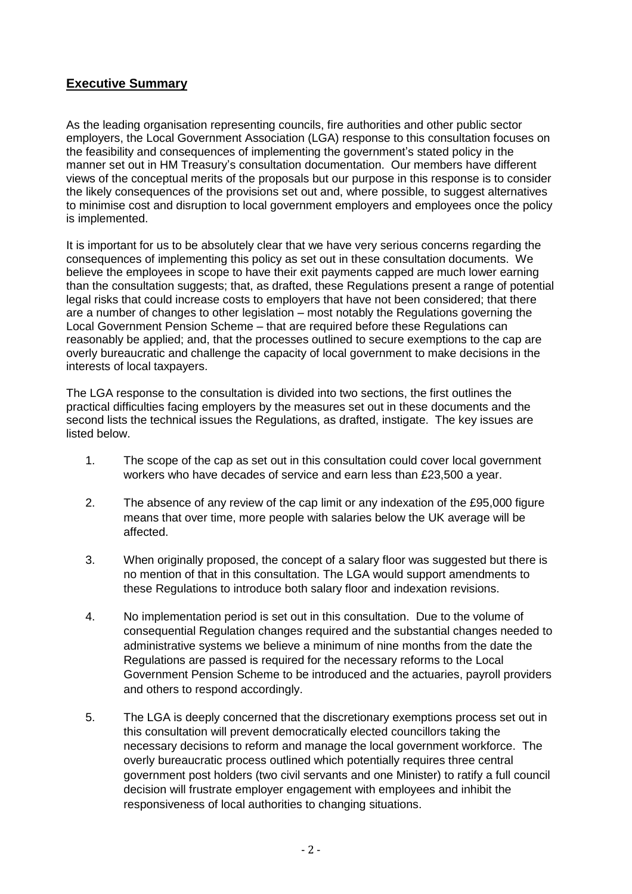# **Executive Summary**

As the leading organisation representing councils, fire authorities and other public sector employers, the Local Government Association (LGA) response to this consultation focuses on the feasibility and consequences of implementing the government's stated policy in the manner set out in HM Treasury's consultation documentation. Our members have different views of the conceptual merits of the proposals but our purpose in this response is to consider the likely consequences of the provisions set out and, where possible, to suggest alternatives to minimise cost and disruption to local government employers and employees once the policy is implemented.

It is important for us to be absolutely clear that we have very serious concerns regarding the consequences of implementing this policy as set out in these consultation documents. We believe the employees in scope to have their exit payments capped are much lower earning than the consultation suggests; that, as drafted, these Regulations present a range of potential legal risks that could increase costs to employers that have not been considered; that there are a number of changes to other legislation – most notably the Regulations governing the Local Government Pension Scheme – that are required before these Regulations can reasonably be applied; and, that the processes outlined to secure exemptions to the cap are overly bureaucratic and challenge the capacity of local government to make decisions in the interests of local taxpayers.

The LGA response to the consultation is divided into two sections, the first outlines the practical difficulties facing employers by the measures set out in these documents and the second lists the technical issues the Regulations, as drafted, instigate. The key issues are listed below.

- 1. The scope of the cap as set out in this consultation could cover local government workers who have decades of service and earn less than £23,500 a year.
- 2. The absence of any review of the cap limit or any indexation of the £95,000 figure means that over time, more people with salaries below the UK average will be affected.
- 3. When originally proposed, the concept of a salary floor was suggested but there is no mention of that in this consultation. The LGA would support amendments to these Regulations to introduce both salary floor and indexation revisions.
- 4. No implementation period is set out in this consultation. Due to the volume of consequential Regulation changes required and the substantial changes needed to administrative systems we believe a minimum of nine months from the date the Regulations are passed is required for the necessary reforms to the Local Government Pension Scheme to be introduced and the actuaries, payroll providers and others to respond accordingly.
- 5. The LGA is deeply concerned that the discretionary exemptions process set out in this consultation will prevent democratically elected councillors taking the necessary decisions to reform and manage the local government workforce. The overly bureaucratic process outlined which potentially requires three central government post holders (two civil servants and one Minister) to ratify a full council decision will frustrate employer engagement with employees and inhibit the responsiveness of local authorities to changing situations.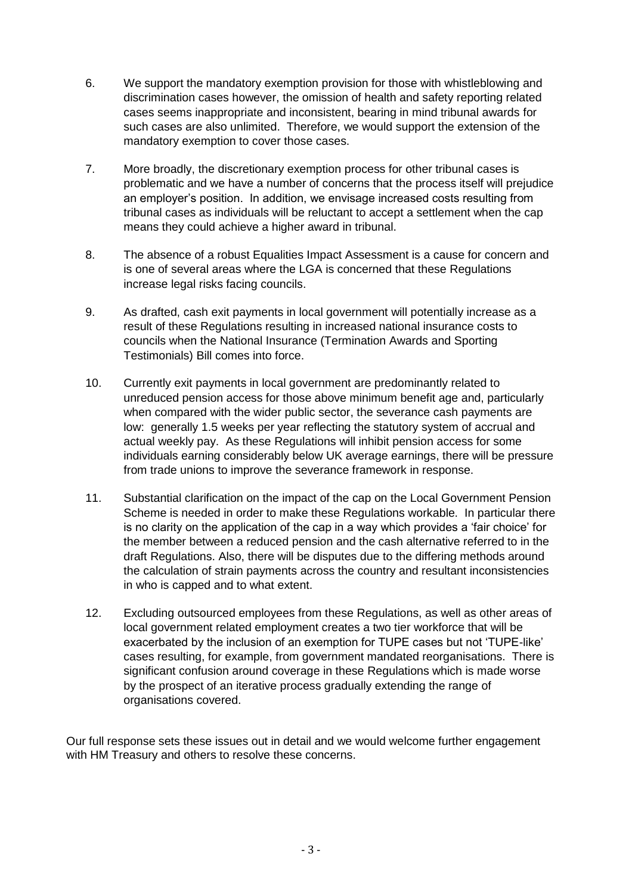- 6. We support the mandatory exemption provision for those with whistleblowing and discrimination cases however, the omission of health and safety reporting related cases seems inappropriate and inconsistent, bearing in mind tribunal awards for such cases are also unlimited. Therefore, we would support the extension of the mandatory exemption to cover those cases.
- 7. More broadly, the discretionary exemption process for other tribunal cases is problematic and we have a number of concerns that the process itself will prejudice an employer's position. In addition, we envisage increased costs resulting from tribunal cases as individuals will be reluctant to accept a settlement when the cap means they could achieve a higher award in tribunal.
- 8. The absence of a robust Equalities Impact Assessment is a cause for concern and is one of several areas where the LGA is concerned that these Regulations increase legal risks facing councils.
- 9. As drafted, cash exit payments in local government will potentially increase as a result of these Regulations resulting in increased national insurance costs to councils when the National Insurance (Termination Awards and Sporting Testimonials) Bill comes into force.
- 10. Currently exit payments in local government are predominantly related to unreduced pension access for those above minimum benefit age and, particularly when compared with the wider public sector, the severance cash payments are low: generally 1.5 weeks per year reflecting the statutory system of accrual and actual weekly pay. As these Regulations will inhibit pension access for some individuals earning considerably below UK average earnings, there will be pressure from trade unions to improve the severance framework in response.
- 11. Substantial clarification on the impact of the cap on the Local Government Pension Scheme is needed in order to make these Regulations workable. In particular there is no clarity on the application of the cap in a way which provides a 'fair choice' for the member between a reduced pension and the cash alternative referred to in the draft Regulations. Also, there will be disputes due to the differing methods around the calculation of strain payments across the country and resultant inconsistencies in who is capped and to what extent.
- 12. Excluding outsourced employees from these Regulations, as well as other areas of local government related employment creates a two tier workforce that will be exacerbated by the inclusion of an exemption for TUPE cases but not 'TUPE-like' cases resulting, for example, from government mandated reorganisations. There is significant confusion around coverage in these Regulations which is made worse by the prospect of an iterative process gradually extending the range of organisations covered.

Our full response sets these issues out in detail and we would welcome further engagement with HM Treasury and others to resolve these concerns.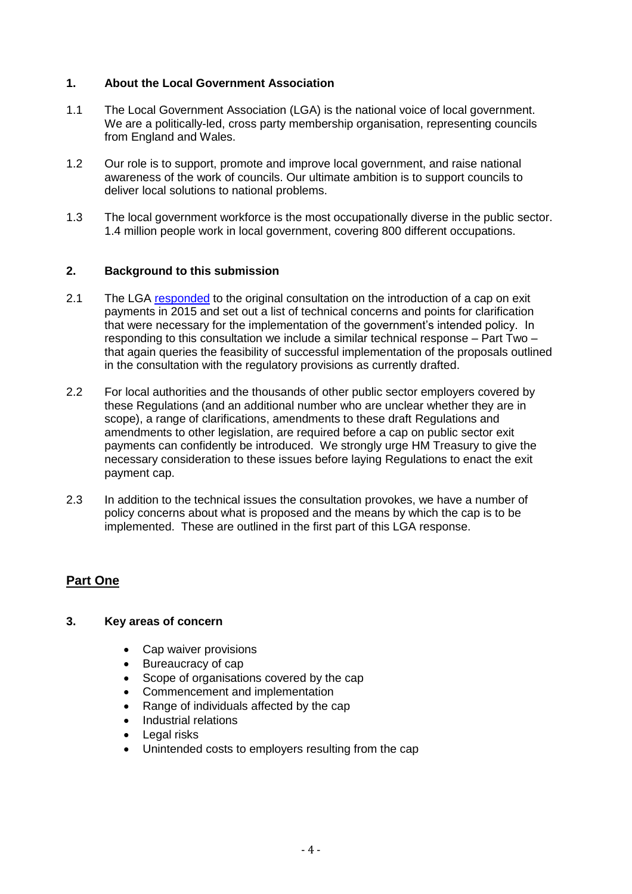### **1. About the Local Government Association**

- 1.1 The Local Government Association (LGA) is the national voice of local government. We are a politically-led, cross party membership organisation, representing councils from England and Wales.
- 1.2 Our role is to support, promote and improve local government, and raise national awareness of the work of councils. Our ultimate ambition is to support councils to deliver local solutions to national problems.
- 1.3 The local government workforce is the most occupationally diverse in the public sector. 1.4 million people work in local government, covering 800 different occupations.

### **2. Background to this submission**

- 2.1 The LGA [responded](http://lgpslibrary.org/assets/cons/nonscheme/20150731LR.pdf) to the original consultation on the introduction of a cap on exit payments in 2015 and set out a list of technical concerns and points for clarification that were necessary for the implementation of the government's intended policy. In responding to this consultation we include a similar technical response – Part Two – that again queries the feasibility of successful implementation of the proposals outlined in the consultation with the regulatory provisions as currently drafted.
- 2.2 For local authorities and the thousands of other public sector employers covered by these Regulations (and an additional number who are unclear whether they are in scope), a range of clarifications, amendments to these draft Regulations and amendments to other legislation, are required before a cap on public sector exit payments can confidently be introduced. We strongly urge HM Treasury to give the necessary consideration to these issues before laying Regulations to enact the exit payment cap.
- 2.3 In addition to the technical issues the consultation provokes, we have a number of policy concerns about what is proposed and the means by which the cap is to be implemented. These are outlined in the first part of this LGA response.

# **Part One**

### **3. Key areas of concern**

- Cap waiver provisions
- Bureaucracy of cap
- Scope of organisations covered by the cap
- Commencement and implementation
- Range of individuals affected by the cap
- Industrial relations
- Legal risks
- Unintended costs to employers resulting from the cap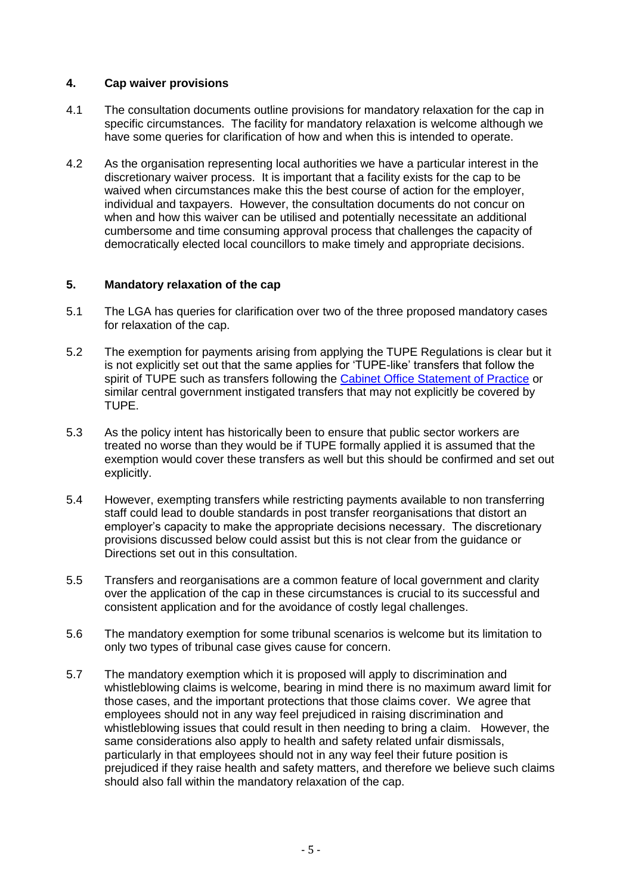### **4. Cap waiver provisions**

- 4.1 The consultation documents outline provisions for mandatory relaxation for the cap in specific circumstances. The facility for mandatory relaxation is welcome although we have some queries for clarification of how and when this is intended to operate.
- 4.2 As the organisation representing local authorities we have a particular interest in the discretionary waiver process. It is important that a facility exists for the cap to be waived when circumstances make this the best course of action for the employer, individual and taxpayers. However, the consultation documents do not concur on when and how this waiver can be utilised and potentially necessitate an additional cumbersome and time consuming approval process that challenges the capacity of democratically elected local councillors to make timely and appropriate decisions.

### **5. Mandatory relaxation of the cap**

- 5.1 The LGA has queries for clarification over two of the three proposed mandatory cases for relaxation of the cap.
- 5.2 The exemption for payments arising from applying the TUPE Regulations is clear but it is not explicitly set out that the same applies for 'TUPE-like' transfers that follow the spirit of TUPE such as transfers following the [Cabinet Office Statement of Practice](https://www.gov.uk/government/publications/staff-transfers-in-the-public-sector) or similar central government instigated transfers that may not explicitly be covered by TUPE.
- 5.3 As the policy intent has historically been to ensure that public sector workers are treated no worse than they would be if TUPE formally applied it is assumed that the exemption would cover these transfers as well but this should be confirmed and set out explicitly.
- 5.4 However, exempting transfers while restricting payments available to non transferring staff could lead to double standards in post transfer reorganisations that distort an employer's capacity to make the appropriate decisions necessary. The discretionary provisions discussed below could assist but this is not clear from the guidance or Directions set out in this consultation.
- 5.5 Transfers and reorganisations are a common feature of local government and clarity over the application of the cap in these circumstances is crucial to its successful and consistent application and for the avoidance of costly legal challenges.
- 5.6 The mandatory exemption for some tribunal scenarios is welcome but its limitation to only two types of tribunal case gives cause for concern.
- 5.7 The mandatory exemption which it is proposed will apply to discrimination and whistleblowing claims is welcome, bearing in mind there is no maximum award limit for those cases, and the important protections that those claims cover. We agree that employees should not in any way feel prejudiced in raising discrimination and whistleblowing issues that could result in then needing to bring a claim. However, the same considerations also apply to health and safety related unfair dismissals, particularly in that employees should not in any way feel their future position is prejudiced if they raise health and safety matters, and therefore we believe such claims should also fall within the mandatory relaxation of the cap.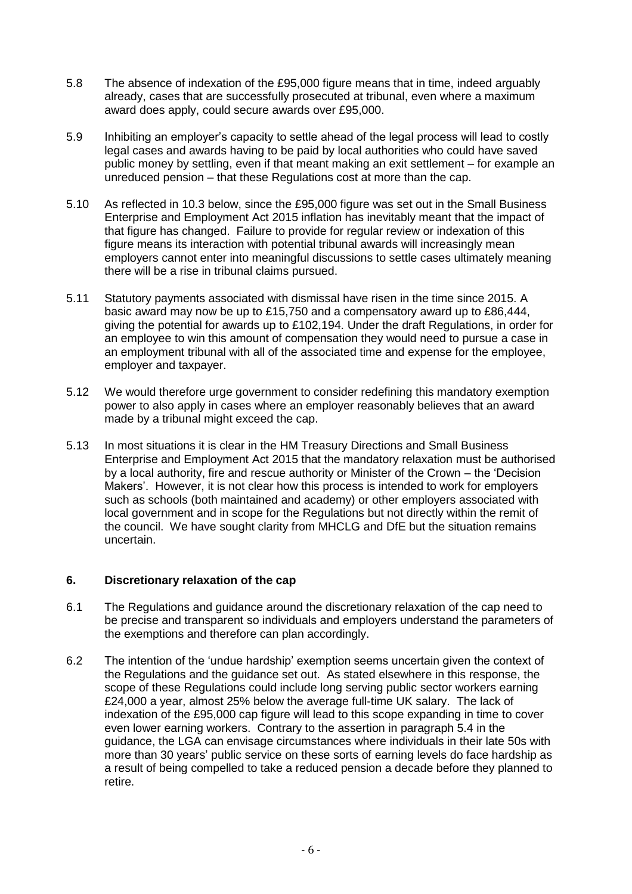- 5.8 The absence of indexation of the £95,000 figure means that in time, indeed arguably already, cases that are successfully prosecuted at tribunal, even where a maximum award does apply, could secure awards over £95,000.
- 5.9 Inhibiting an employer's capacity to settle ahead of the legal process will lead to costly legal cases and awards having to be paid by local authorities who could have saved public money by settling, even if that meant making an exit settlement – for example an unreduced pension – that these Regulations cost at more than the cap.
- 5.10 As reflected in 10.3 below, since the £95,000 figure was set out in the Small Business Enterprise and Employment Act 2015 inflation has inevitably meant that the impact of that figure has changed. Failure to provide for regular review or indexation of this figure means its interaction with potential tribunal awards will increasingly mean employers cannot enter into meaningful discussions to settle cases ultimately meaning there will be a rise in tribunal claims pursued.
- 5.11 Statutory payments associated with dismissal have risen in the time since 2015. A basic award may now be up to £15,750 and a compensatory award up to £86,444, giving the potential for awards up to £102,194. Under the draft Regulations, in order for an employee to win this amount of compensation they would need to pursue a case in an employment tribunal with all of the associated time and expense for the employee, employer and taxpayer.
- 5.12 We would therefore urge government to consider redefining this mandatory exemption power to also apply in cases where an employer reasonably believes that an award made by a tribunal might exceed the cap.
- 5.13 In most situations it is clear in the HM Treasury Directions and Small Business Enterprise and Employment Act 2015 that the mandatory relaxation must be authorised by a local authority, fire and rescue authority or Minister of the Crown – the 'Decision Makers'. However, it is not clear how this process is intended to work for employers such as schools (both maintained and academy) or other employers associated with local government and in scope for the Regulations but not directly within the remit of the council. We have sought clarity from MHCLG and DfE but the situation remains uncertain.

#### **6. Discretionary relaxation of the cap**

- 6.1 The Regulations and guidance around the discretionary relaxation of the cap need to be precise and transparent so individuals and employers understand the parameters of the exemptions and therefore can plan accordingly.
- 6.2 The intention of the 'undue hardship' exemption seems uncertain given the context of the Regulations and the guidance set out. As stated elsewhere in this response, the scope of these Regulations could include long serving public sector workers earning £24,000 a year, almost 25% below the average full-time UK salary. The lack of indexation of the £95,000 cap figure will lead to this scope expanding in time to cover even lower earning workers. Contrary to the assertion in paragraph 5.4 in the guidance, the LGA can envisage circumstances where individuals in their late 50s with more than 30 years' public service on these sorts of earning levels do face hardship as a result of being compelled to take a reduced pension a decade before they planned to retire.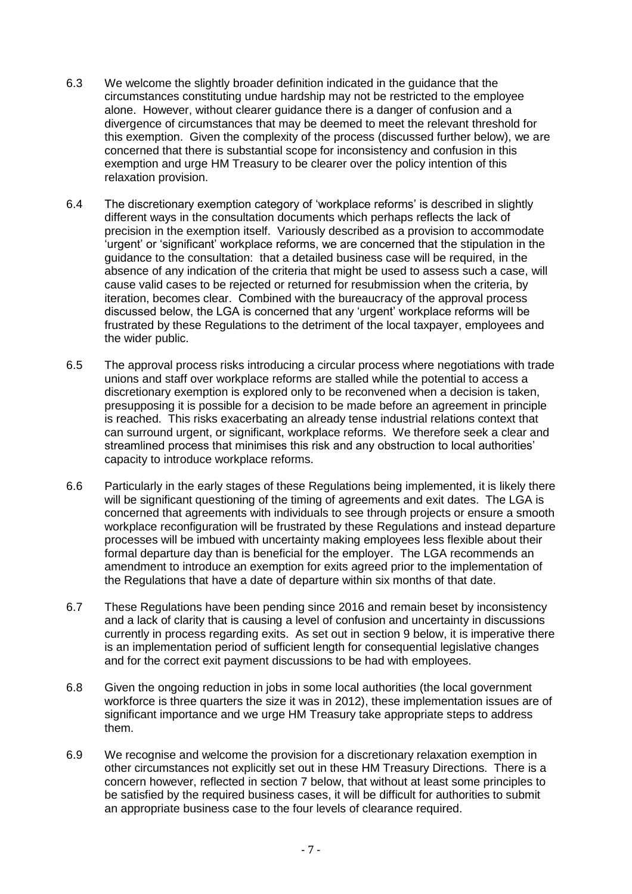- 6.3 We welcome the slightly broader definition indicated in the guidance that the circumstances constituting undue hardship may not be restricted to the employee alone. However, without clearer guidance there is a danger of confusion and a divergence of circumstances that may be deemed to meet the relevant threshold for this exemption. Given the complexity of the process (discussed further below), we are concerned that there is substantial scope for inconsistency and confusion in this exemption and urge HM Treasury to be clearer over the policy intention of this relaxation provision.
- 6.4 The discretionary exemption category of 'workplace reforms' is described in slightly different ways in the consultation documents which perhaps reflects the lack of precision in the exemption itself. Variously described as a provision to accommodate 'urgent' or 'significant' workplace reforms, we are concerned that the stipulation in the guidance to the consultation: that a detailed business case will be required, in the absence of any indication of the criteria that might be used to assess such a case, will cause valid cases to be rejected or returned for resubmission when the criteria, by iteration, becomes clear. Combined with the bureaucracy of the approval process discussed below, the LGA is concerned that any 'urgent' workplace reforms will be frustrated by these Regulations to the detriment of the local taxpayer, employees and the wider public.
- 6.5 The approval process risks introducing a circular process where negotiations with trade unions and staff over workplace reforms are stalled while the potential to access a discretionary exemption is explored only to be reconvened when a decision is taken, presupposing it is possible for a decision to be made before an agreement in principle is reached. This risks exacerbating an already tense industrial relations context that can surround urgent, or significant, workplace reforms. We therefore seek a clear and streamlined process that minimises this risk and any obstruction to local authorities' capacity to introduce workplace reforms.
- 6.6 Particularly in the early stages of these Regulations being implemented, it is likely there will be significant questioning of the timing of agreements and exit dates. The LGA is concerned that agreements with individuals to see through projects or ensure a smooth workplace reconfiguration will be frustrated by these Regulations and instead departure processes will be imbued with uncertainty making employees less flexible about their formal departure day than is beneficial for the employer. The LGA recommends an amendment to introduce an exemption for exits agreed prior to the implementation of the Regulations that have a date of departure within six months of that date.
- 6.7 These Regulations have been pending since 2016 and remain beset by inconsistency and a lack of clarity that is causing a level of confusion and uncertainty in discussions currently in process regarding exits. As set out in section 9 below, it is imperative there is an implementation period of sufficient length for consequential legislative changes and for the correct exit payment discussions to be had with employees.
- 6.8 Given the ongoing reduction in jobs in some local authorities (the local government workforce is three quarters the size it was in 2012), these implementation issues are of significant importance and we urge HM Treasury take appropriate steps to address them.
- 6.9 We recognise and welcome the provision for a discretionary relaxation exemption in other circumstances not explicitly set out in these HM Treasury Directions. There is a concern however, reflected in section 7 below, that without at least some principles to be satisfied by the required business cases, it will be difficult for authorities to submit an appropriate business case to the four levels of clearance required.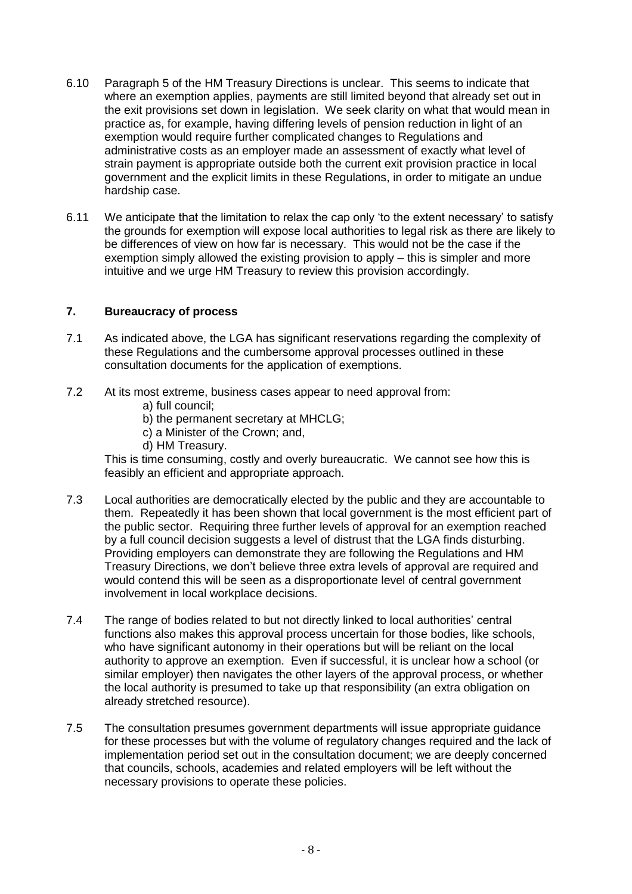- 6.10 Paragraph 5 of the HM Treasury Directions is unclear. This seems to indicate that where an exemption applies, payments are still limited beyond that already set out in the exit provisions set down in legislation. We seek clarity on what that would mean in practice as, for example, having differing levels of pension reduction in light of an exemption would require further complicated changes to Regulations and administrative costs as an employer made an assessment of exactly what level of strain payment is appropriate outside both the current exit provision practice in local government and the explicit limits in these Regulations, in order to mitigate an undue hardship case.
- 6.11 We anticipate that the limitation to relax the cap only 'to the extent necessary' to satisfy the grounds for exemption will expose local authorities to legal risk as there are likely to be differences of view on how far is necessary. This would not be the case if the exemption simply allowed the existing provision to apply – this is simpler and more intuitive and we urge HM Treasury to review this provision accordingly.

### **7. Bureaucracy of process**

- 7.1 As indicated above, the LGA has significant reservations regarding the complexity of these Regulations and the cumbersome approval processes outlined in these consultation documents for the application of exemptions.
- 7.2 At its most extreme, business cases appear to need approval from:
	- a) full council;
	- b) the permanent secretary at MHCLG;
	- c) a Minister of the Crown; and,
	- d) HM Treasury.

This is time consuming, costly and overly bureaucratic. We cannot see how this is feasibly an efficient and appropriate approach.

- 7.3 Local authorities are democratically elected by the public and they are accountable to them. Repeatedly it has been shown that local government is the most efficient part of the public sector. Requiring three further levels of approval for an exemption reached by a full council decision suggests a level of distrust that the LGA finds disturbing. Providing employers can demonstrate they are following the Regulations and HM Treasury Directions, we don't believe three extra levels of approval are required and would contend this will be seen as a disproportionate level of central government involvement in local workplace decisions.
- 7.4 The range of bodies related to but not directly linked to local authorities' central functions also makes this approval process uncertain for those bodies, like schools, who have significant autonomy in their operations but will be reliant on the local authority to approve an exemption. Even if successful, it is unclear how a school (or similar employer) then navigates the other layers of the approval process, or whether the local authority is presumed to take up that responsibility (an extra obligation on already stretched resource).
- 7.5 The consultation presumes government departments will issue appropriate guidance for these processes but with the volume of regulatory changes required and the lack of implementation period set out in the consultation document; we are deeply concerned that councils, schools, academies and related employers will be left without the necessary provisions to operate these policies.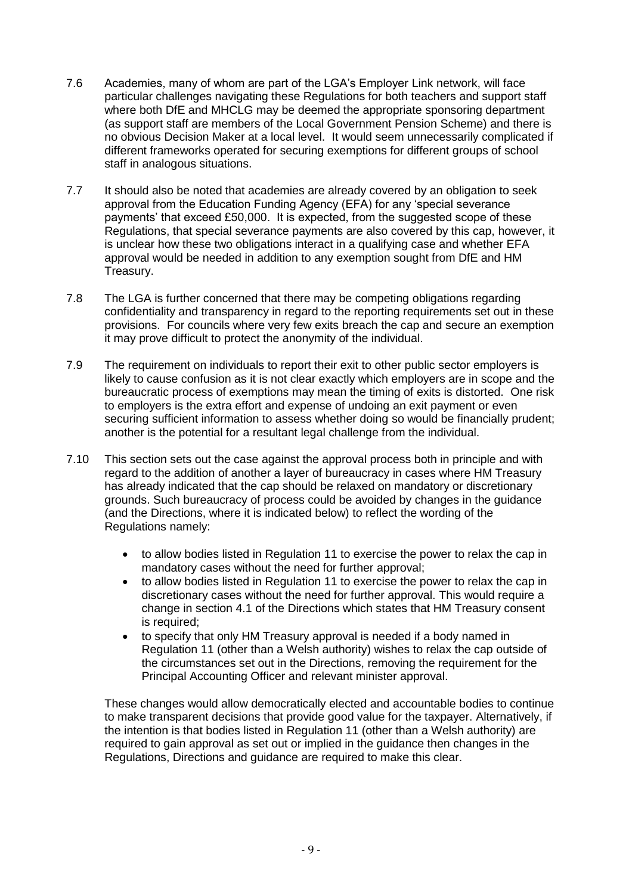- 7.6 Academies, many of whom are part of the LGA's Employer Link network, will face particular challenges navigating these Regulations for both teachers and support staff where both DfE and MHCLG may be deemed the appropriate sponsoring department (as support staff are members of the Local Government Pension Scheme) and there is no obvious Decision Maker at a local level. It would seem unnecessarily complicated if different frameworks operated for securing exemptions for different groups of school staff in analogous situations.
- 7.7 It should also be noted that academies are already covered by an obligation to seek approval from the Education Funding Agency (EFA) for any 'special severance payments' that exceed £50,000. It is expected, from the suggested scope of these Regulations, that special severance payments are also covered by this cap, however, it is unclear how these two obligations interact in a qualifying case and whether EFA approval would be needed in addition to any exemption sought from DfE and HM Treasury.
- 7.8 The LGA is further concerned that there may be competing obligations regarding confidentiality and transparency in regard to the reporting requirements set out in these provisions. For councils where very few exits breach the cap and secure an exemption it may prove difficult to protect the anonymity of the individual.
- 7.9 The requirement on individuals to report their exit to other public sector employers is likely to cause confusion as it is not clear exactly which employers are in scope and the bureaucratic process of exemptions may mean the timing of exits is distorted. One risk to employers is the extra effort and expense of undoing an exit payment or even securing sufficient information to assess whether doing so would be financially prudent; another is the potential for a resultant legal challenge from the individual.
- 7.10 This section sets out the case against the approval process both in principle and with regard to the addition of another a layer of bureaucracy in cases where HM Treasury has already indicated that the cap should be relaxed on mandatory or discretionary grounds. Such bureaucracy of process could be avoided by changes in the guidance (and the Directions, where it is indicated below) to reflect the wording of the Regulations namely:
	- to allow bodies listed in Regulation 11 to exercise the power to relax the cap in mandatory cases without the need for further approval;
	- to allow bodies listed in Regulation 11 to exercise the power to relax the cap in discretionary cases without the need for further approval. This would require a change in section 4.1 of the Directions which states that HM Treasury consent is required;
	- to specify that only HM Treasury approval is needed if a body named in Regulation 11 (other than a Welsh authority) wishes to relax the cap outside of the circumstances set out in the Directions, removing the requirement for the Principal Accounting Officer and relevant minister approval.

These changes would allow democratically elected and accountable bodies to continue to make transparent decisions that provide good value for the taxpayer. Alternatively, if the intention is that bodies listed in Regulation 11 (other than a Welsh authority) are required to gain approval as set out or implied in the guidance then changes in the Regulations, Directions and guidance are required to make this clear.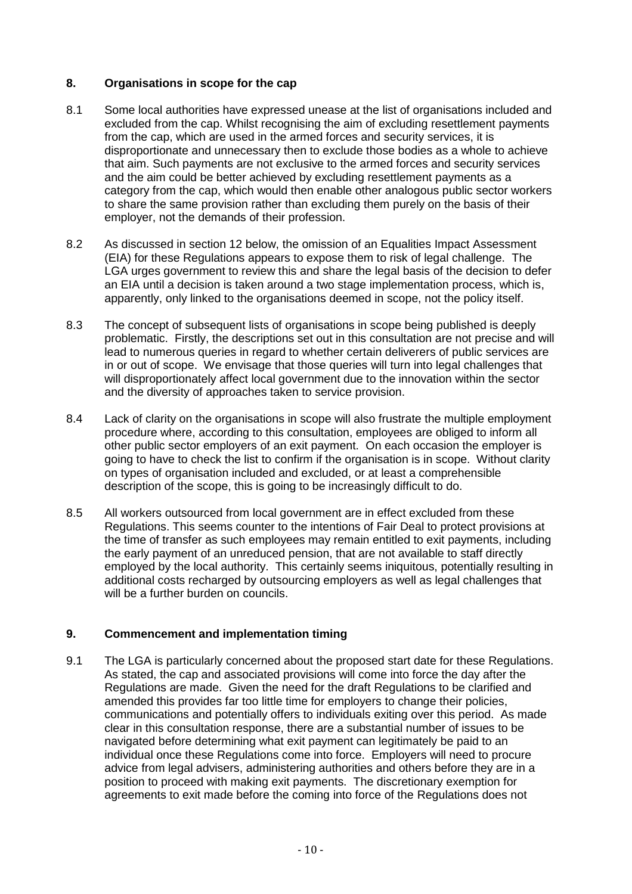# **8. Organisations in scope for the cap**

- 8.1 Some local authorities have expressed unease at the list of organisations included and excluded from the cap. Whilst recognising the aim of excluding resettlement payments from the cap, which are used in the armed forces and security services, it is disproportionate and unnecessary then to exclude those bodies as a whole to achieve that aim. Such payments are not exclusive to the armed forces and security services and the aim could be better achieved by excluding resettlement payments as a category from the cap, which would then enable other analogous public sector workers to share the same provision rather than excluding them purely on the basis of their employer, not the demands of their profession.
- 8.2 As discussed in section 12 below, the omission of an Equalities Impact Assessment (EIA) for these Regulations appears to expose them to risk of legal challenge. The LGA urges government to review this and share the legal basis of the decision to defer an EIA until a decision is taken around a two stage implementation process, which is, apparently, only linked to the organisations deemed in scope, not the policy itself.
- 8.3 The concept of subsequent lists of organisations in scope being published is deeply problematic. Firstly, the descriptions set out in this consultation are not precise and will lead to numerous queries in regard to whether certain deliverers of public services are in or out of scope. We envisage that those queries will turn into legal challenges that will disproportionately affect local government due to the innovation within the sector and the diversity of approaches taken to service provision.
- 8.4 Lack of clarity on the organisations in scope will also frustrate the multiple employment procedure where, according to this consultation, employees are obliged to inform all other public sector employers of an exit payment. On each occasion the employer is going to have to check the list to confirm if the organisation is in scope. Without clarity on types of organisation included and excluded, or at least a comprehensible description of the scope, this is going to be increasingly difficult to do.
- 8.5 All workers outsourced from local government are in effect excluded from these Regulations. This seems counter to the intentions of Fair Deal to protect provisions at the time of transfer as such employees may remain entitled to exit payments, including the early payment of an unreduced pension, that are not available to staff directly employed by the local authority. This certainly seems iniquitous, potentially resulting in additional costs recharged by outsourcing employers as well as legal challenges that will be a further burden on councils.

# **9. Commencement and implementation timing**

9.1 The LGA is particularly concerned about the proposed start date for these Regulations. As stated, the cap and associated provisions will come into force the day after the Regulations are made. Given the need for the draft Regulations to be clarified and amended this provides far too little time for employers to change their policies, communications and potentially offers to individuals exiting over this period. As made clear in this consultation response, there are a substantial number of issues to be navigated before determining what exit payment can legitimately be paid to an individual once these Regulations come into force. Employers will need to procure advice from legal advisers, administering authorities and others before they are in a position to proceed with making exit payments. The discretionary exemption for agreements to exit made before the coming into force of the Regulations does not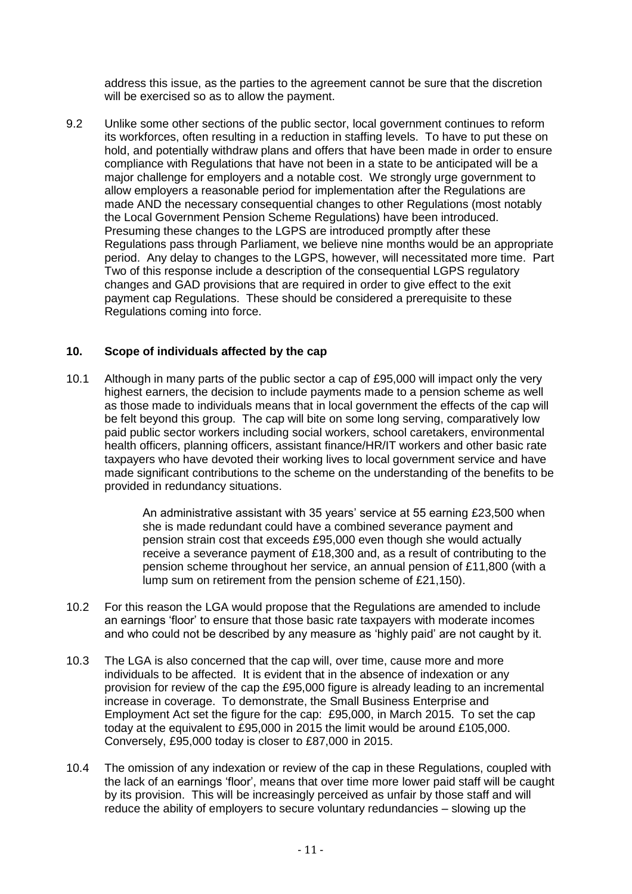address this issue, as the parties to the agreement cannot be sure that the discretion will be exercised so as to allow the payment.

9.2 Unlike some other sections of the public sector, local government continues to reform its workforces, often resulting in a reduction in staffing levels. To have to put these on hold, and potentially withdraw plans and offers that have been made in order to ensure compliance with Regulations that have not been in a state to be anticipated will be a major challenge for employers and a notable cost. We strongly urge government to allow employers a reasonable period for implementation after the Regulations are made AND the necessary consequential changes to other Regulations (most notably the Local Government Pension Scheme Regulations) have been introduced. Presuming these changes to the LGPS are introduced promptly after these Regulations pass through Parliament, we believe nine months would be an appropriate period. Any delay to changes to the LGPS, however, will necessitated more time. Part Two of this response include a description of the consequential LGPS regulatory changes and GAD provisions that are required in order to give effect to the exit payment cap Regulations. These should be considered a prerequisite to these Regulations coming into force.

### **10. Scope of individuals affected by the cap**

10.1 Although in many parts of the public sector a cap of £95,000 will impact only the very highest earners, the decision to include payments made to a pension scheme as well as those made to individuals means that in local government the effects of the cap will be felt beyond this group. The cap will bite on some long serving, comparatively low paid public sector workers including social workers, school caretakers, environmental health officers, planning officers, assistant finance/HR/IT workers and other basic rate taxpayers who have devoted their working lives to local government service and have made significant contributions to the scheme on the understanding of the benefits to be provided in redundancy situations.

> An administrative assistant with 35 years' service at 55 earning £23,500 when she is made redundant could have a combined severance payment and pension strain cost that exceeds £95,000 even though she would actually receive a severance payment of £18,300 and, as a result of contributing to the pension scheme throughout her service, an annual pension of £11,800 (with a lump sum on retirement from the pension scheme of £21,150).

- 10.2 For this reason the LGA would propose that the Regulations are amended to include an earnings 'floor' to ensure that those basic rate taxpayers with moderate incomes and who could not be described by any measure as 'highly paid' are not caught by it.
- 10.3 The LGA is also concerned that the cap will, over time, cause more and more individuals to be affected. It is evident that in the absence of indexation or any provision for review of the cap the £95,000 figure is already leading to an incremental increase in coverage. To demonstrate, the Small Business Enterprise and Employment Act set the figure for the cap: £95,000, in March 2015. To set the cap today at the equivalent to £95,000 in 2015 the limit would be around £105,000. Conversely, £95,000 today is closer to £87,000 in 2015.
- 10.4 The omission of any indexation or review of the cap in these Regulations, coupled with the lack of an earnings 'floor', means that over time more lower paid staff will be caught by its provision. This will be increasingly perceived as unfair by those staff and will reduce the ability of employers to secure voluntary redundancies – slowing up the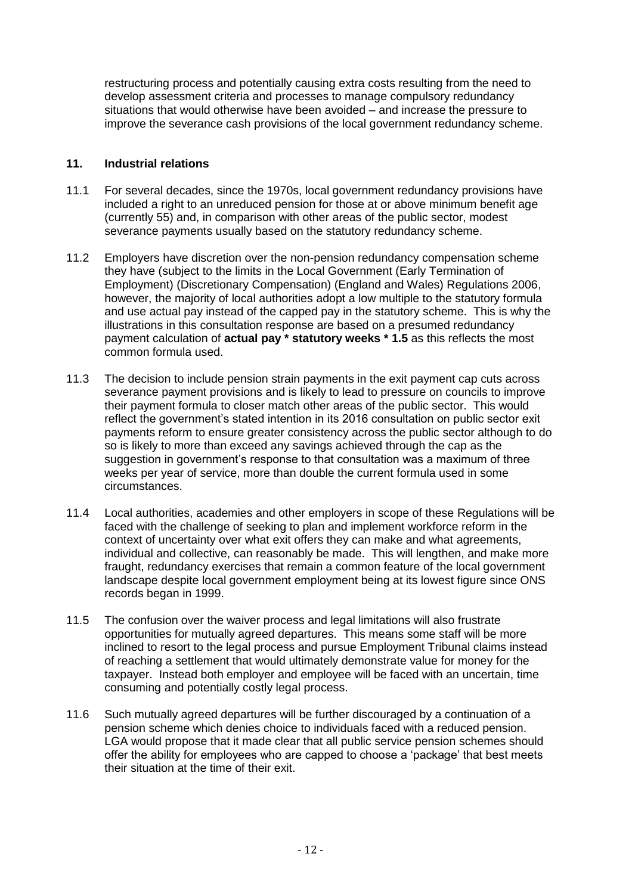restructuring process and potentially causing extra costs resulting from the need to develop assessment criteria and processes to manage compulsory redundancy situations that would otherwise have been avoided – and increase the pressure to improve the severance cash provisions of the local government redundancy scheme.

### **11. Industrial relations**

- 11.1 For several decades, since the 1970s, local government redundancy provisions have included a right to an unreduced pension for those at or above minimum benefit age (currently 55) and, in comparison with other areas of the public sector, modest severance payments usually based on the statutory redundancy scheme.
- 11.2 Employers have discretion over the non-pension redundancy compensation scheme they have (subject to the limits in the Local Government (Early Termination of Employment) (Discretionary Compensation) (England and Wales) Regulations 2006, however, the majority of local authorities adopt a low multiple to the statutory formula and use actual pay instead of the capped pay in the statutory scheme. This is why the illustrations in this consultation response are based on a presumed redundancy payment calculation of **actual pay \* statutory weeks \* 1.5** as this reflects the most common formula used.
- 11.3 The decision to include pension strain payments in the exit payment cap cuts across severance payment provisions and is likely to lead to pressure on councils to improve their payment formula to closer match other areas of the public sector. This would reflect the government's stated intention in its 2016 consultation on public sector exit payments reform to ensure greater consistency across the public sector although to do so is likely to more than exceed any savings achieved through the cap as the suggestion in government's response to that consultation was a maximum of three weeks per year of service, more than double the current formula used in some circumstances.
- 11.4 Local authorities, academies and other employers in scope of these Regulations will be faced with the challenge of seeking to plan and implement workforce reform in the context of uncertainty over what exit offers they can make and what agreements, individual and collective, can reasonably be made. This will lengthen, and make more fraught, redundancy exercises that remain a common feature of the local government landscape despite local government employment being at its lowest figure since ONS records began in 1999.
- 11.5 The confusion over the waiver process and legal limitations will also frustrate opportunities for mutually agreed departures. This means some staff will be more inclined to resort to the legal process and pursue Employment Tribunal claims instead of reaching a settlement that would ultimately demonstrate value for money for the taxpayer. Instead both employer and employee will be faced with an uncertain, time consuming and potentially costly legal process.
- 11.6 Such mutually agreed departures will be further discouraged by a continuation of a pension scheme which denies choice to individuals faced with a reduced pension. LGA would propose that it made clear that all public service pension schemes should offer the ability for employees who are capped to choose a 'package' that best meets their situation at the time of their exit.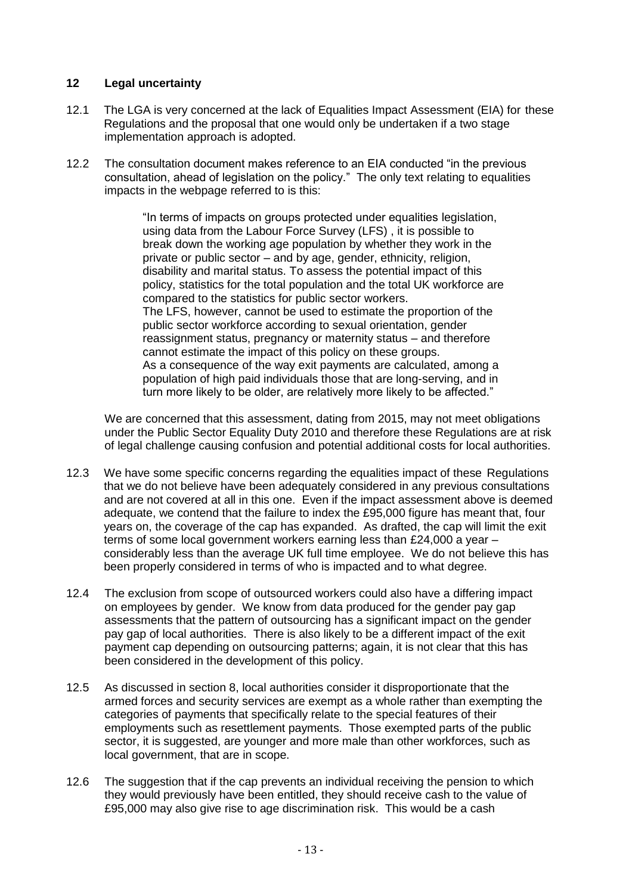# **12 Legal uncertainty**

- 12.1 The LGA is very concerned at the lack of Equalities Impact Assessment (EIA) for these Regulations and the proposal that one would only be undertaken if a two stage implementation approach is adopted.
- 12.2 The consultation document makes reference to an EIA conducted "in the previous consultation, ahead of legislation on the policy." The only text relating to equalities impacts in the webpage referred to is this:

"In terms of impacts on groups protected under equalities legislation, using data from the Labour Force Survey (LFS) , it is possible to break down the working age population by whether they work in the private or public sector – and by age, gender, ethnicity, religion, disability and marital status. To assess the potential impact of this policy, statistics for the total population and the total UK workforce are compared to the statistics for public sector workers. The LFS, however, cannot be used to estimate the proportion of the public sector workforce according to sexual orientation, gender reassignment status, pregnancy or maternity status – and therefore cannot estimate the impact of this policy on these groups. As a consequence of the way exit payments are calculated, among a population of high paid individuals those that are long-serving, and in turn more likely to be older, are relatively more likely to be affected."

We are concerned that this assessment, dating from 2015, may not meet obligations under the Public Sector Equality Duty 2010 and therefore these Regulations are at risk of legal challenge causing confusion and potential additional costs for local authorities.

- 12.3 We have some specific concerns regarding the equalities impact of these Regulations that we do not believe have been adequately considered in any previous consultations and are not covered at all in this one. Even if the impact assessment above is deemed adequate, we contend that the failure to index the £95,000 figure has meant that, four years on, the coverage of the cap has expanded. As drafted, the cap will limit the exit terms of some local government workers earning less than £24,000 a year – considerably less than the average UK full time employee. We do not believe this has been properly considered in terms of who is impacted and to what degree.
- 12.4 The exclusion from scope of outsourced workers could also have a differing impact on employees by gender. We know from data produced for the gender pay gap assessments that the pattern of outsourcing has a significant impact on the gender pay gap of local authorities. There is also likely to be a different impact of the exit payment cap depending on outsourcing patterns; again, it is not clear that this has been considered in the development of this policy.
- 12.5 As discussed in section 8, local authorities consider it disproportionate that the armed forces and security services are exempt as a whole rather than exempting the categories of payments that specifically relate to the special features of their employments such as resettlement payments. Those exempted parts of the public sector, it is suggested, are younger and more male than other workforces, such as local government, that are in scope.
- 12.6 The suggestion that if the cap prevents an individual receiving the pension to which they would previously have been entitled, they should receive cash to the value of £95,000 may also give rise to age discrimination risk. This would be a cash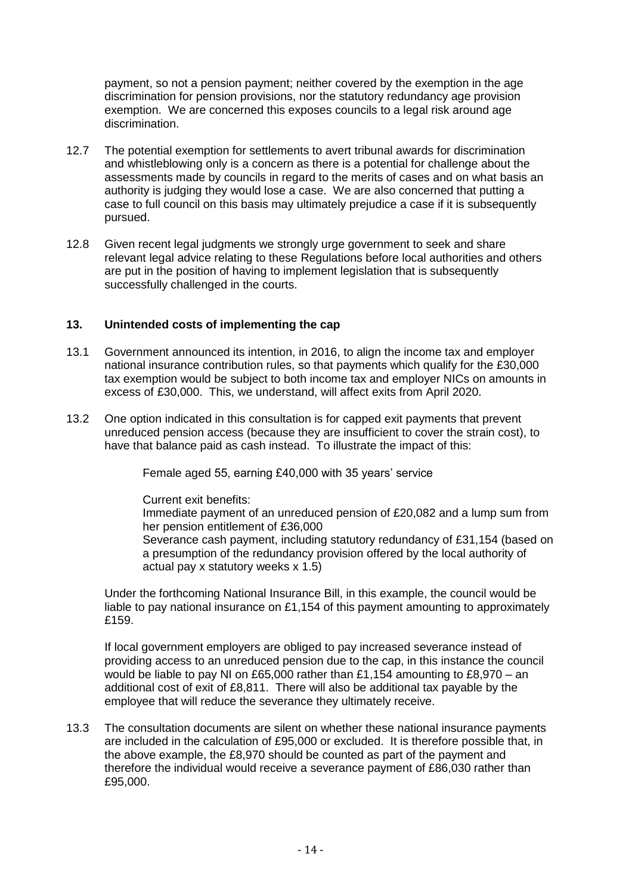payment, so not a pension payment; neither covered by the exemption in the age discrimination for pension provisions, nor the statutory redundancy age provision exemption. We are concerned this exposes councils to a legal risk around age discrimination.

- 12.7 The potential exemption for settlements to avert tribunal awards for discrimination and whistleblowing only is a concern as there is a potential for challenge about the assessments made by councils in regard to the merits of cases and on what basis an authority is judging they would lose a case. We are also concerned that putting a case to full council on this basis may ultimately prejudice a case if it is subsequently pursued.
- 12.8 Given recent legal judgments we strongly urge government to seek and share relevant legal advice relating to these Regulations before local authorities and others are put in the position of having to implement legislation that is subsequently successfully challenged in the courts.

### **13. Unintended costs of implementing the cap**

- 13.1 Government announced its intention, in 2016, to align the income tax and employer national insurance contribution rules, so that payments which qualify for the £30,000 tax exemption would be subject to both income tax and employer NICs on amounts in excess of £30,000. This, we understand, will affect exits from April 2020.
- 13.2 One option indicated in this consultation is for capped exit payments that prevent unreduced pension access (because they are insufficient to cover the strain cost), to have that balance paid as cash instead. To illustrate the impact of this:

Female aged 55, earning £40,000 with 35 years' service

Current exit benefits: Immediate payment of an unreduced pension of £20,082 and a lump sum from her pension entitlement of £36,000 Severance cash payment, including statutory redundancy of £31,154 (based on a presumption of the redundancy provision offered by the local authority of actual pay x statutory weeks x 1.5)

Under the forthcoming National Insurance Bill, in this example, the council would be liable to pay national insurance on £1,154 of this payment amounting to approximately £159.

If local government employers are obliged to pay increased severance instead of providing access to an unreduced pension due to the cap, in this instance the council would be liable to pay NI on £65,000 rather than £1,154 amounting to £8,970 – an additional cost of exit of £8,811. There will also be additional tax payable by the employee that will reduce the severance they ultimately receive.

13.3 The consultation documents are silent on whether these national insurance payments are included in the calculation of £95,000 or excluded. It is therefore possible that, in the above example, the £8,970 should be counted as part of the payment and therefore the individual would receive a severance payment of £86,030 rather than £95,000.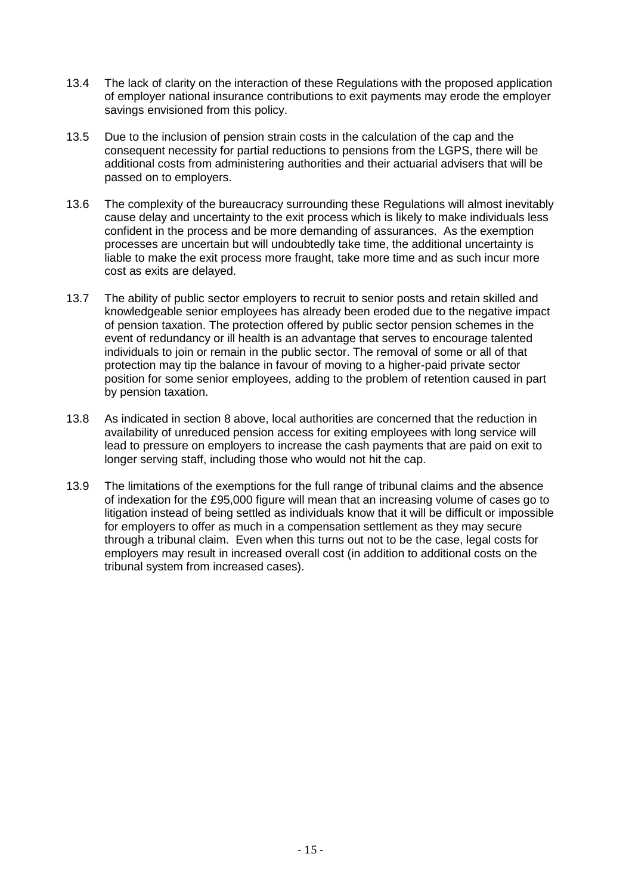- 13.4 The lack of clarity on the interaction of these Regulations with the proposed application of employer national insurance contributions to exit payments may erode the employer savings envisioned from this policy.
- 13.5 Due to the inclusion of pension strain costs in the calculation of the cap and the consequent necessity for partial reductions to pensions from the LGPS, there will be additional costs from administering authorities and their actuarial advisers that will be passed on to employers.
- 13.6 The complexity of the bureaucracy surrounding these Regulations will almost inevitably cause delay and uncertainty to the exit process which is likely to make individuals less confident in the process and be more demanding of assurances. As the exemption processes are uncertain but will undoubtedly take time, the additional uncertainty is liable to make the exit process more fraught, take more time and as such incur more cost as exits are delayed.
- 13.7 The ability of public sector employers to recruit to senior posts and retain skilled and knowledgeable senior employees has already been eroded due to the negative impact of pension taxation. The protection offered by public sector pension schemes in the event of redundancy or ill health is an advantage that serves to encourage talented individuals to join or remain in the public sector. The removal of some or all of that protection may tip the balance in favour of moving to a higher-paid private sector position for some senior employees, adding to the problem of retention caused in part by pension taxation.
- 13.8 As indicated in section 8 above, local authorities are concerned that the reduction in availability of unreduced pension access for exiting employees with long service will lead to pressure on employers to increase the cash payments that are paid on exit to longer serving staff, including those who would not hit the cap.
- 13.9 The limitations of the exemptions for the full range of tribunal claims and the absence of indexation for the £95,000 figure will mean that an increasing volume of cases go to litigation instead of being settled as individuals know that it will be difficult or impossible for employers to offer as much in a compensation settlement as they may secure through a tribunal claim. Even when this turns out not to be the case, legal costs for employers may result in increased overall cost (in addition to additional costs on the tribunal system from increased cases).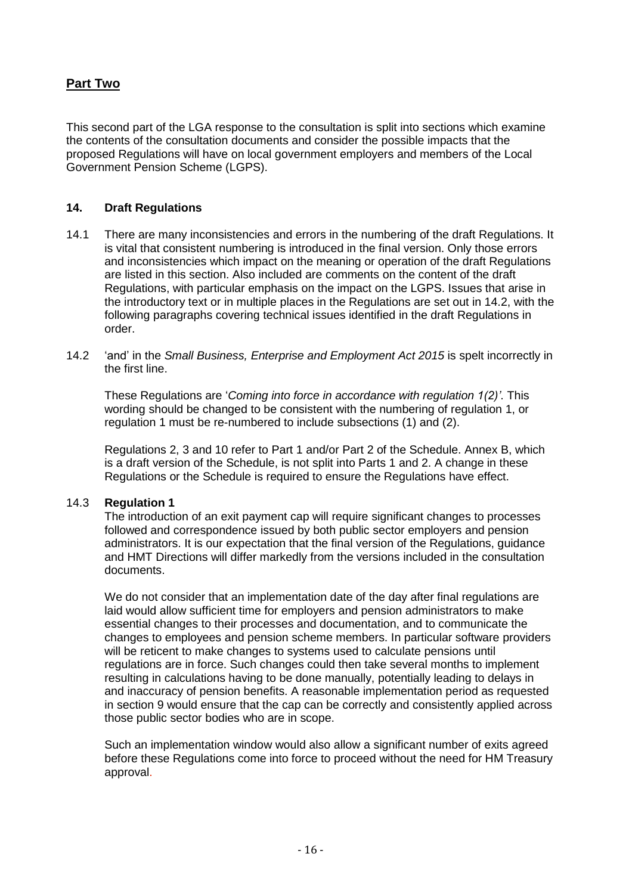# **Part Two**

This second part of the LGA response to the consultation is split into sections which examine the contents of the consultation documents and consider the possible impacts that the proposed Regulations will have on local government employers and members of the Local Government Pension Scheme (LGPS).

#### **14. Draft Regulations**

- 14.1 There are many inconsistencies and errors in the numbering of the draft Regulations. It is vital that consistent numbering is introduced in the final version. Only those errors and inconsistencies which impact on the meaning or operation of the draft Regulations are listed in this section. Also included are comments on the content of the draft Regulations, with particular emphasis on the impact on the LGPS. Issues that arise in the introductory text or in multiple places in the Regulations are set out in 14.2, with the following paragraphs covering technical issues identified in the draft Regulations in order.
- 14.2 'and' in the *Small Business, Enterprise and Employment Act 2015* is spelt incorrectly in the first line.

These Regulations are '*Coming into force in accordance with regulation 1(2)'*. This wording should be changed to be consistent with the numbering of regulation 1, or regulation 1 must be re-numbered to include subsections (1) and (2).

Regulations 2, 3 and 10 refer to Part 1 and/or Part 2 of the Schedule. Annex B, which is a draft version of the Schedule, is not split into Parts 1 and 2. A change in these Regulations or the Schedule is required to ensure the Regulations have effect.

#### 14.3 **Regulation 1**

The introduction of an exit payment cap will require significant changes to processes followed and correspondence issued by both public sector employers and pension administrators. It is our expectation that the final version of the Regulations, guidance and HMT Directions will differ markedly from the versions included in the consultation documents.

We do not consider that an implementation date of the day after final regulations are laid would allow sufficient time for employers and pension administrators to make essential changes to their processes and documentation, and to communicate the changes to employees and pension scheme members. In particular software providers will be reticent to make changes to systems used to calculate pensions until regulations are in force. Such changes could then take several months to implement resulting in calculations having to be done manually, potentially leading to delays in and inaccuracy of pension benefits. A reasonable implementation period as requested in section 9 would ensure that the cap can be correctly and consistently applied across those public sector bodies who are in scope.

Such an implementation window would also allow a significant number of exits agreed before these Regulations come into force to proceed without the need for HM Treasury approval.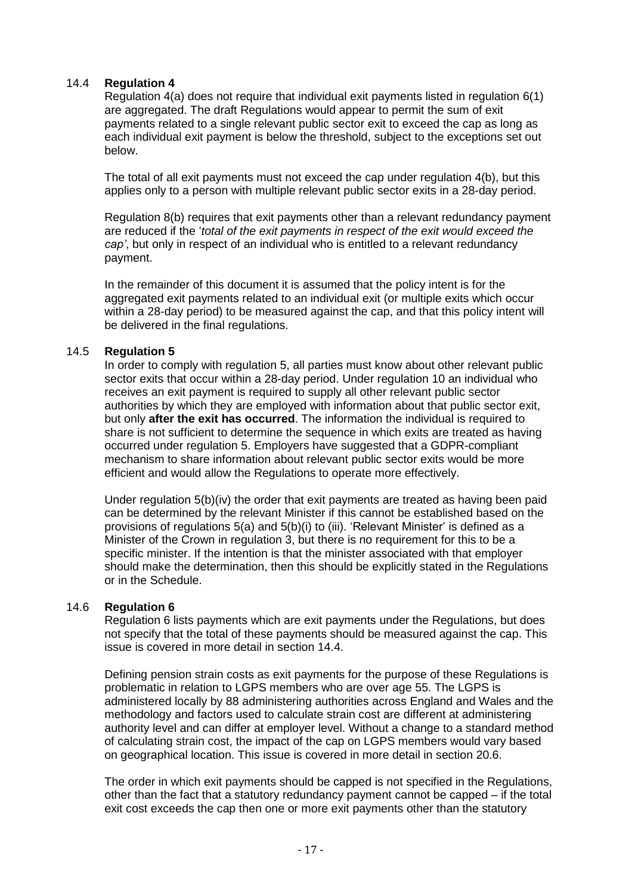#### 14.4 **Regulation 4**

Regulation 4(a) does not require that individual exit payments listed in regulation 6(1) are aggregated. The draft Regulations would appear to permit the sum of exit payments related to a single relevant public sector exit to exceed the cap as long as each individual exit payment is below the threshold, subject to the exceptions set out below.

The total of all exit payments must not exceed the cap under regulation 4(b), but this applies only to a person with multiple relevant public sector exits in a 28-day period.

Regulation 8(b) requires that exit payments other than a relevant redundancy payment are reduced if the '*total of the exit payments in respect of the exit would exceed the cap'*, but only in respect of an individual who is entitled to a relevant redundancy payment.

In the remainder of this document it is assumed that the policy intent is for the aggregated exit payments related to an individual exit (or multiple exits which occur within a 28-day period) to be measured against the cap, and that this policy intent will be delivered in the final regulations.

### 14.5 **Regulation 5**

In order to comply with regulation 5, all parties must know about other relevant public sector exits that occur within a 28-day period. Under regulation 10 an individual who receives an exit payment is required to supply all other relevant public sector authorities by which they are employed with information about that public sector exit, but only **after the exit has occurred**. The information the individual is required to share is not sufficient to determine the sequence in which exits are treated as having occurred under regulation 5. Employers have suggested that a GDPR-compliant mechanism to share information about relevant public sector exits would be more efficient and would allow the Regulations to operate more effectively.

Under regulation 5(b)(iv) the order that exit payments are treated as having been paid can be determined by the relevant Minister if this cannot be established based on the provisions of regulations 5(a) and 5(b)(i) to (iii). 'Relevant Minister' is defined as a Minister of the Crown in regulation 3, but there is no requirement for this to be a specific minister. If the intention is that the minister associated with that employer should make the determination, then this should be explicitly stated in the Regulations or in the Schedule.

#### 14.6 **Regulation 6**

Regulation 6 lists payments which are exit payments under the Regulations, but does not specify that the total of these payments should be measured against the cap. This issue is covered in more detail in section 14.4.

Defining pension strain costs as exit payments for the purpose of these Regulations is problematic in relation to LGPS members who are over age 55. The LGPS is administered locally by 88 administering authorities across England and Wales and the methodology and factors used to calculate strain cost are different at administering authority level and can differ at employer level. Without a change to a standard method of calculating strain cost, the impact of the cap on LGPS members would vary based on geographical location. This issue is covered in more detail in section 20.6.

The order in which exit payments should be capped is not specified in the Regulations, other than the fact that a statutory redundancy payment cannot be capped – if the total exit cost exceeds the cap then one or more exit payments other than the statutory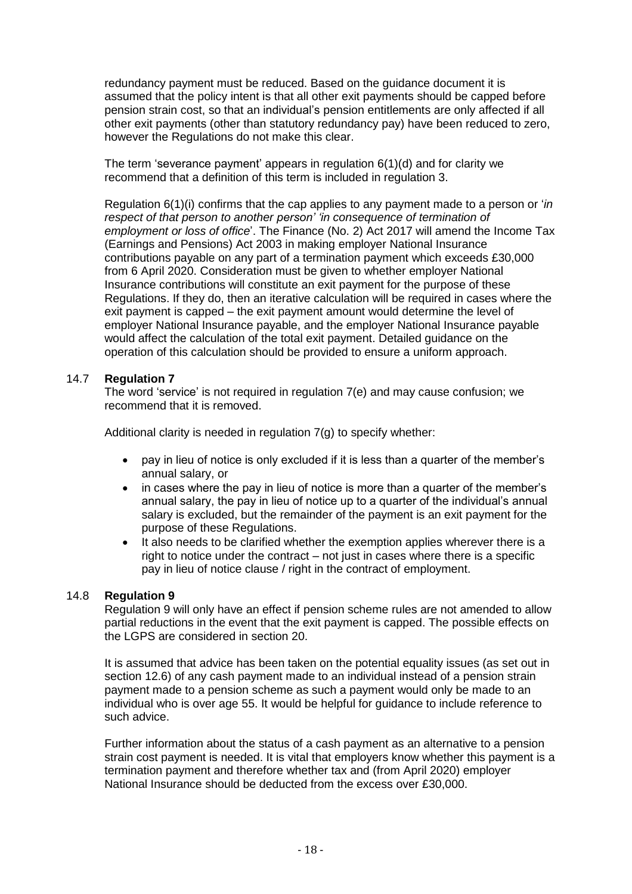redundancy payment must be reduced. Based on the guidance document it is assumed that the policy intent is that all other exit payments should be capped before pension strain cost, so that an individual's pension entitlements are only affected if all other exit payments (other than statutory redundancy pay) have been reduced to zero, however the Regulations do not make this clear.

The term 'severance payment' appears in regulation 6(1)(d) and for clarity we recommend that a definition of this term is included in regulation 3.

Regulation 6(1)(i) confirms that the cap applies to any payment made to a person or '*in respect of that person to another person' 'in consequence of termination of employment or loss of office*'. The Finance (No. 2) Act 2017 will amend the Income Tax (Earnings and Pensions) Act 2003 in making employer National Insurance contributions payable on any part of a termination payment which exceeds £30,000 from 6 April 2020. Consideration must be given to whether employer National Insurance contributions will constitute an exit payment for the purpose of these Regulations. If they do, then an iterative calculation will be required in cases where the exit payment is capped – the exit payment amount would determine the level of employer National Insurance payable, and the employer National Insurance payable would affect the calculation of the total exit payment. Detailed guidance on the operation of this calculation should be provided to ensure a uniform approach.

#### 14.7 **Regulation 7**

The word 'service' is not required in regulation 7(e) and may cause confusion; we recommend that it is removed.

Additional clarity is needed in regulation 7(g) to specify whether:

- pay in lieu of notice is only excluded if it is less than a quarter of the member's annual salary, or
- in cases where the pay in lieu of notice is more than a quarter of the member's annual salary, the pay in lieu of notice up to a quarter of the individual's annual salary is excluded, but the remainder of the payment is an exit payment for the purpose of these Regulations.
- It also needs to be clarified whether the exemption applies wherever there is a right to notice under the contract – not just in cases where there is a specific pay in lieu of notice clause / right in the contract of employment.

#### 14.8 **Regulation 9**

Regulation 9 will only have an effect if pension scheme rules are not amended to allow partial reductions in the event that the exit payment is capped. The possible effects on the LGPS are considered in section 20.

It is assumed that advice has been taken on the potential equality issues (as set out in section 12.6) of any cash payment made to an individual instead of a pension strain payment made to a pension scheme as such a payment would only be made to an individual who is over age 55. It would be helpful for guidance to include reference to such advice.

Further information about the status of a cash payment as an alternative to a pension strain cost payment is needed. It is vital that employers know whether this payment is a termination payment and therefore whether tax and (from April 2020) employer National Insurance should be deducted from the excess over £30,000.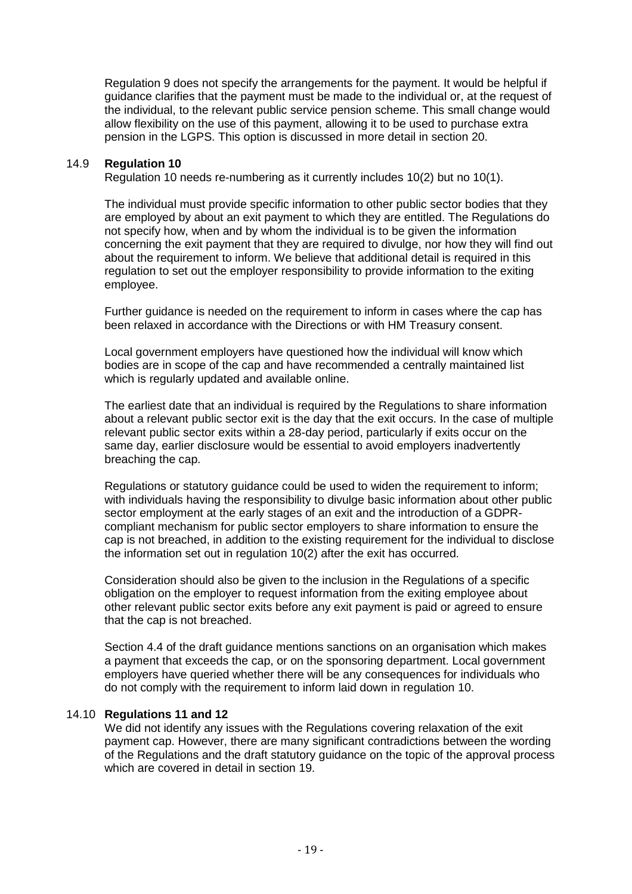Regulation 9 does not specify the arrangements for the payment. It would be helpful if guidance clarifies that the payment must be made to the individual or, at the request of the individual, to the relevant public service pension scheme. This small change would allow flexibility on the use of this payment, allowing it to be used to purchase extra pension in the LGPS. This option is discussed in more detail in section 20.

#### 14.9 **Regulation 10**

Regulation 10 needs re-numbering as it currently includes 10(2) but no 10(1).

The individual must provide specific information to other public sector bodies that they are employed by about an exit payment to which they are entitled. The Regulations do not specify how, when and by whom the individual is to be given the information concerning the exit payment that they are required to divulge, nor how they will find out about the requirement to inform. We believe that additional detail is required in this regulation to set out the employer responsibility to provide information to the exiting employee.

Further guidance is needed on the requirement to inform in cases where the cap has been relaxed in accordance with the Directions or with HM Treasury consent.

Local government employers have questioned how the individual will know which bodies are in scope of the cap and have recommended a centrally maintained list which is regularly updated and available online.

The earliest date that an individual is required by the Regulations to share information about a relevant public sector exit is the day that the exit occurs. In the case of multiple relevant public sector exits within a 28-day period, particularly if exits occur on the same day, earlier disclosure would be essential to avoid employers inadvertently breaching the cap.

Regulations or statutory guidance could be used to widen the requirement to inform; with individuals having the responsibility to divulge basic information about other public sector employment at the early stages of an exit and the introduction of a GDPRcompliant mechanism for public sector employers to share information to ensure the cap is not breached, in addition to the existing requirement for the individual to disclose the information set out in regulation 10(2) after the exit has occurred.

Consideration should also be given to the inclusion in the Regulations of a specific obligation on the employer to request information from the exiting employee about other relevant public sector exits before any exit payment is paid or agreed to ensure that the cap is not breached.

Section 4.4 of the draft guidance mentions sanctions on an organisation which makes a payment that exceeds the cap, or on the sponsoring department. Local government employers have queried whether there will be any consequences for individuals who do not comply with the requirement to inform laid down in regulation 10.

#### 14.10 **Regulations 11 and 12**

We did not identify any issues with the Regulations covering relaxation of the exit payment cap. However, there are many significant contradictions between the wording of the Regulations and the draft statutory guidance on the topic of the approval process which are covered in detail in section 19.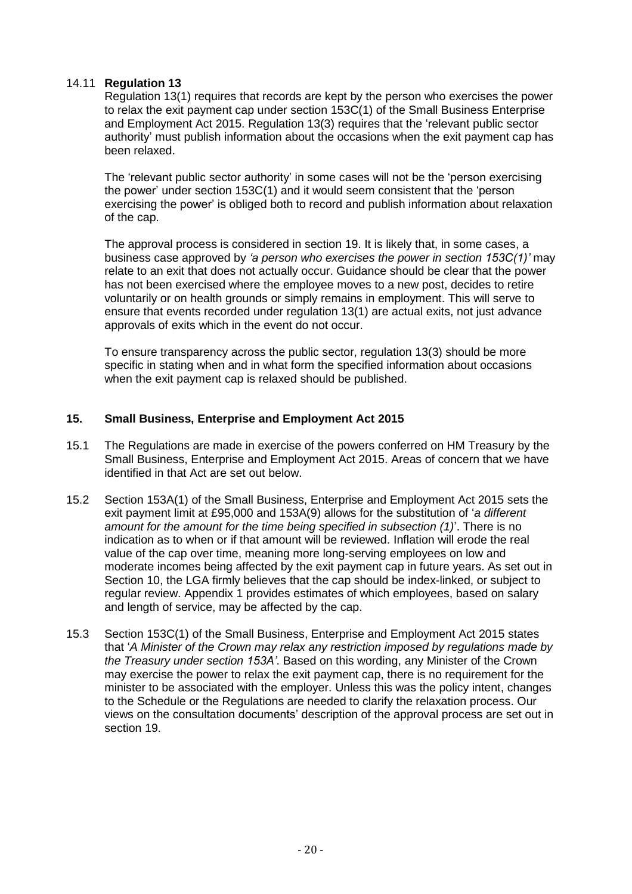### 14.11 **Regulation 13**

Regulation 13(1) requires that records are kept by the person who exercises the power to relax the exit payment cap under section 153C(1) of the Small Business Enterprise and Employment Act 2015. Regulation 13(3) requires that the 'relevant public sector authority' must publish information about the occasions when the exit payment cap has been relaxed.

The 'relevant public sector authority' in some cases will not be the 'person exercising the power' under section 153C(1) and it would seem consistent that the 'person exercising the power' is obliged both to record and publish information about relaxation of the cap.

The approval process is considered in section 19. It is likely that, in some cases, a business case approved by *'a person who exercises the power in section 153C(1)'* may relate to an exit that does not actually occur. Guidance should be clear that the power has not been exercised where the employee moves to a new post, decides to retire voluntarily or on health grounds or simply remains in employment. This will serve to ensure that events recorded under regulation 13(1) are actual exits, not just advance approvals of exits which in the event do not occur.

To ensure transparency across the public sector, regulation 13(3) should be more specific in stating when and in what form the specified information about occasions when the exit payment cap is relaxed should be published.

### **15. Small Business, Enterprise and Employment Act 2015**

- 15.1 The Regulations are made in exercise of the powers conferred on HM Treasury by the Small Business, Enterprise and Employment Act 2015. Areas of concern that we have identified in that Act are set out below.
- 15.2 Section 153A(1) of the Small Business, Enterprise and Employment Act 2015 sets the exit payment limit at £95,000 and 153A(9) allows for the substitution of '*a different amount for the amount for the time being specified in subsection (1)*'. There is no indication as to when or if that amount will be reviewed. Inflation will erode the real value of the cap over time, meaning more long-serving employees on low and moderate incomes being affected by the exit payment cap in future years. As set out in Section 10, the LGA firmly believes that the cap should be index-linked, or subject to regular review. Appendix 1 provides estimates of which employees, based on salary and length of service, may be affected by the cap.
- 15.3 Section 153C(1) of the Small Business, Enterprise and Employment Act 2015 states that '*A Minister of the Crown may relax any restriction imposed by regulations made by the Treasury under section 153A'*. Based on this wording, any Minister of the Crown may exercise the power to relax the exit payment cap, there is no requirement for the minister to be associated with the employer. Unless this was the policy intent, changes to the Schedule or the Regulations are needed to clarify the relaxation process. Our views on the consultation documents' description of the approval process are set out in section 19.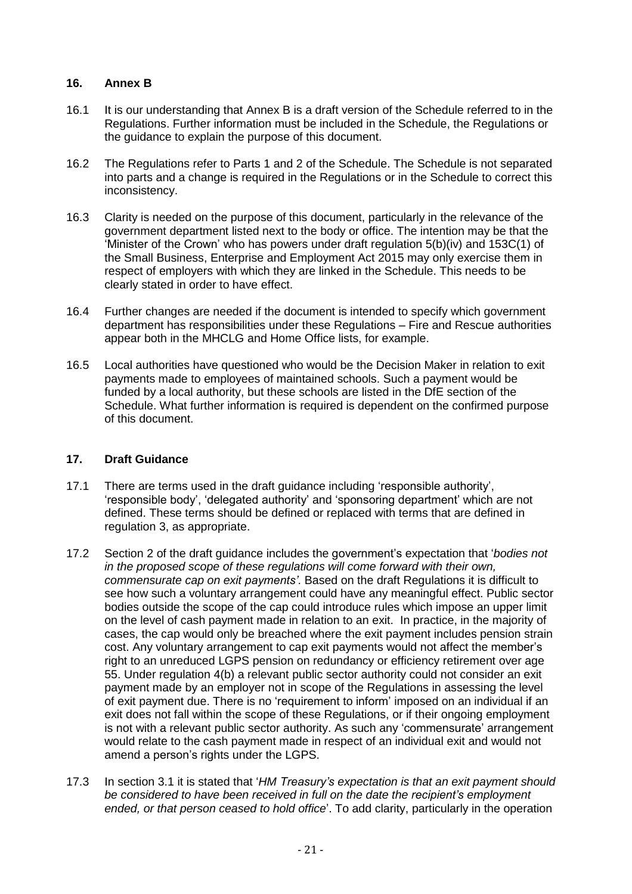### **16. Annex B**

- 16.1 It is our understanding that Annex B is a draft version of the Schedule referred to in the Regulations. Further information must be included in the Schedule, the Regulations or the guidance to explain the purpose of this document.
- 16.2 The Regulations refer to Parts 1 and 2 of the Schedule. The Schedule is not separated into parts and a change is required in the Regulations or in the Schedule to correct this inconsistency.
- 16.3 Clarity is needed on the purpose of this document, particularly in the relevance of the government department listed next to the body or office. The intention may be that the 'Minister of the Crown' who has powers under draft regulation 5(b)(iv) and 153C(1) of the Small Business, Enterprise and Employment Act 2015 may only exercise them in respect of employers with which they are linked in the Schedule. This needs to be clearly stated in order to have effect.
- 16.4 Further changes are needed if the document is intended to specify which government department has responsibilities under these Regulations – Fire and Rescue authorities appear both in the MHCLG and Home Office lists, for example.
- 16.5 Local authorities have questioned who would be the Decision Maker in relation to exit payments made to employees of maintained schools. Such a payment would be funded by a local authority, but these schools are listed in the DfE section of the Schedule. What further information is required is dependent on the confirmed purpose of this document.

### **17. Draft Guidance**

- 17.1 There are terms used in the draft guidance including 'responsible authority', 'responsible body', 'delegated authority' and 'sponsoring department' which are not defined. These terms should be defined or replaced with terms that are defined in regulation 3, as appropriate.
- 17.2 Section 2 of the draft guidance includes the government's expectation that '*bodies not in the proposed scope of these regulations will come forward with their own, commensurate cap on exit payments'*. Based on the draft Regulations it is difficult to see how such a voluntary arrangement could have any meaningful effect. Public sector bodies outside the scope of the cap could introduce rules which impose an upper limit on the level of cash payment made in relation to an exit. In practice, in the majority of cases, the cap would only be breached where the exit payment includes pension strain cost. Any voluntary arrangement to cap exit payments would not affect the member's right to an unreduced LGPS pension on redundancy or efficiency retirement over age 55. Under regulation 4(b) a relevant public sector authority could not consider an exit payment made by an employer not in scope of the Regulations in assessing the level of exit payment due. There is no 'requirement to inform' imposed on an individual if an exit does not fall within the scope of these Regulations, or if their ongoing employment is not with a relevant public sector authority. As such any 'commensurate' arrangement would relate to the cash payment made in respect of an individual exit and would not amend a person's rights under the LGPS.
- 17.3 In section 3.1 it is stated that '*HM Treasury's expectation is that an exit payment should be considered to have been received in full on the date the recipient's employment ended, or that person ceased to hold office*'. To add clarity, particularly in the operation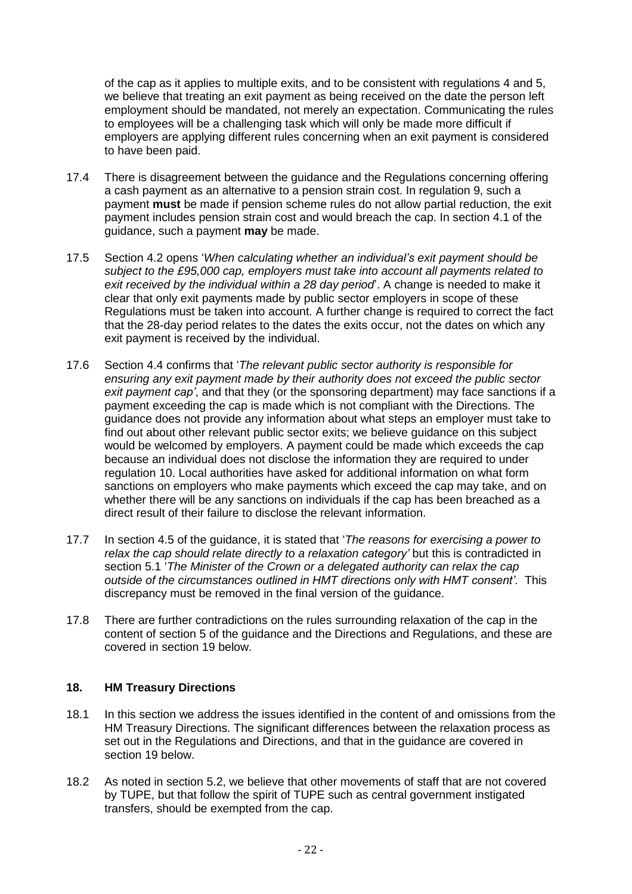of the cap as it applies to multiple exits, and to be consistent with regulations 4 and 5, we believe that treating an exit payment as being received on the date the person left employment should be mandated, not merely an expectation. Communicating the rules to employees will be a challenging task which will only be made more difficult if employers are applying different rules concerning when an exit payment is considered to have been paid.

- 17.4 There is disagreement between the guidance and the Regulations concerning offering a cash payment as an alternative to a pension strain cost. In regulation 9, such a payment **must** be made if pension scheme rules do not allow partial reduction, the exit payment includes pension strain cost and would breach the cap. In section 4.1 of the guidance, such a payment **may** be made.
- 17.5 Section 4.2 opens '*When calculating whether an individual's exit payment should be subject to the £95,000 cap, employers must take into account all payments related to exit received by the individual within a 28 day period*'. A change is needed to make it clear that only exit payments made by public sector employers in scope of these Regulations must be taken into account. A further change is required to correct the fact that the 28-day period relates to the dates the exits occur, not the dates on which any exit payment is received by the individual.
- 17.6 Section 4.4 confirms that '*The relevant public sector authority is responsible for ensuring any exit payment made by their authority does not exceed the public sector exit payment cap'*, and that they (or the sponsoring department) may face sanctions if a payment exceeding the cap is made which is not compliant with the Directions. The guidance does not provide any information about what steps an employer must take to find out about other relevant public sector exits; we believe guidance on this subject would be welcomed by employers. A payment could be made which exceeds the cap because an individual does not disclose the information they are required to under regulation 10. Local authorities have asked for additional information on what form sanctions on employers who make payments which exceed the cap may take, and on whether there will be any sanctions on individuals if the cap has been breached as a direct result of their failure to disclose the relevant information.
- 17.7 In section 4.5 of the guidance, it is stated that '*The reasons for exercising a power to relax the cap should relate directly to a relaxation category'* but this is contradicted in section 5.1 '*The Minister of the Crown or a delegated authority can relax the cap outside of the circumstances outlined in HMT directions only with HMT consent'.* This discrepancy must be removed in the final version of the guidance.
- 17.8 There are further contradictions on the rules surrounding relaxation of the cap in the content of section 5 of the guidance and the Directions and Regulations, and these are covered in section 19 below.

#### **18. HM Treasury Directions**

- 18.1 In this section we address the issues identified in the content of and omissions from the HM Treasury Directions. The significant differences between the relaxation process as set out in the Regulations and Directions, and that in the guidance are covered in section 19 below.
- 18.2 As noted in section 5.2, we believe that other movements of staff that are not covered by TUPE, but that follow the spirit of TUPE such as central government instigated transfers, should be exempted from the cap.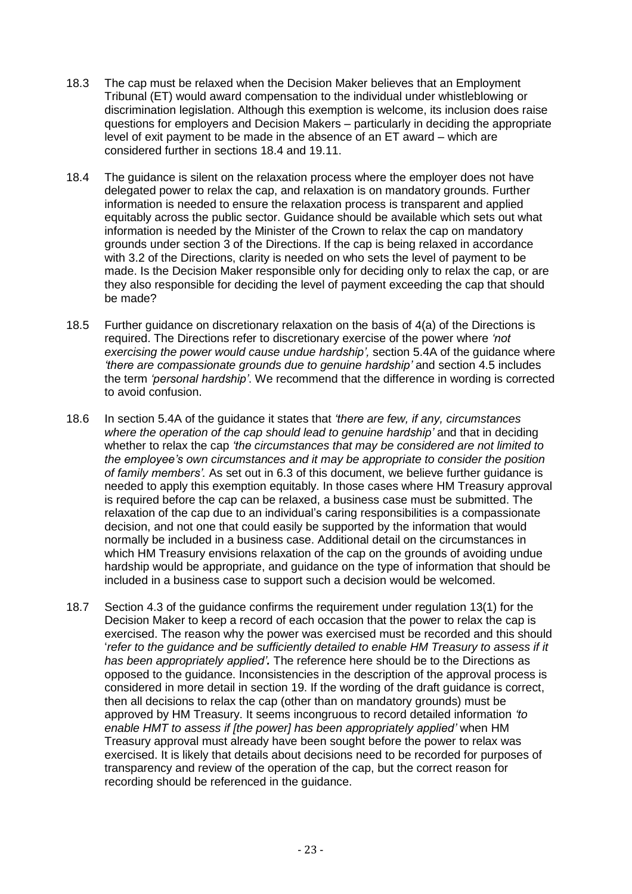- 18.3 The cap must be relaxed when the Decision Maker believes that an Employment Tribunal (ET) would award compensation to the individual under whistleblowing or discrimination legislation. Although this exemption is welcome, its inclusion does raise questions for employers and Decision Makers – particularly in deciding the appropriate level of exit payment to be made in the absence of an ET award – which are considered further in sections 18.4 and 19.11.
- 18.4 The guidance is silent on the relaxation process where the employer does not have delegated power to relax the cap, and relaxation is on mandatory grounds. Further information is needed to ensure the relaxation process is transparent and applied equitably across the public sector. Guidance should be available which sets out what information is needed by the Minister of the Crown to relax the cap on mandatory grounds under section 3 of the Directions. If the cap is being relaxed in accordance with 3.2 of the Directions, clarity is needed on who sets the level of payment to be made. Is the Decision Maker responsible only for deciding only to relax the cap, or are they also responsible for deciding the level of payment exceeding the cap that should be made?
- 18.5 Further guidance on discretionary relaxation on the basis of 4(a) of the Directions is required. The Directions refer to discretionary exercise of the power where *'not exercising the power would cause undue hardship',* section 5.4A of the guidance where *'there are compassionate grounds due to genuine hardship'* and section 4.5 includes the term *'personal hardship'*. We recommend that the difference in wording is corrected to avoid confusion.
- 18.6 In section 5.4A of the guidance it states that *'there are few, if any, circumstances where the operation of the cap should lead to genuine hardship'* and that in deciding whether to relax the cap *'the circumstances that may be considered are not limited to the employee's own circumstances and it may be appropriate to consider the position of family members'.* As set out in 6.3 of this document, we believe further guidance is needed to apply this exemption equitably. In those cases where HM Treasury approval is required before the cap can be relaxed, a business case must be submitted. The relaxation of the cap due to an individual's caring responsibilities is a compassionate decision, and not one that could easily be supported by the information that would normally be included in a business case. Additional detail on the circumstances in which HM Treasury envisions relaxation of the cap on the grounds of avoiding undue hardship would be appropriate, and guidance on the type of information that should be included in a business case to support such a decision would be welcomed.
- 18.7 Section 4.3 of the guidance confirms the requirement under regulation 13(1) for the Decision Maker to keep a record of each occasion that the power to relax the cap is exercised. The reason why the power was exercised must be recorded and this should '*refer to the guidance and be sufficiently detailed to enable HM Treasury to assess if it has been appropriately applied'.* The reference here should be to the Directions as opposed to the guidance. Inconsistencies in the description of the approval process is considered in more detail in section 19. If the wording of the draft guidance is correct, then all decisions to relax the cap (other than on mandatory grounds) must be approved by HM Treasury. It seems incongruous to record detailed information *'to enable HMT to assess if [the power] has been appropriately applied'* when HM Treasury approval must already have been sought before the power to relax was exercised. It is likely that details about decisions need to be recorded for purposes of transparency and review of the operation of the cap, but the correct reason for recording should be referenced in the guidance.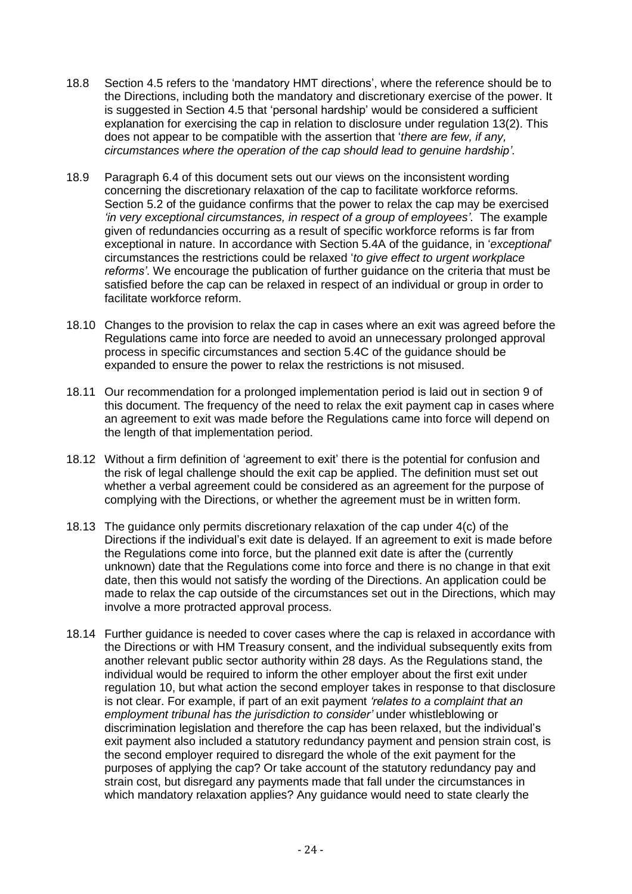- 18.8 Section 4.5 refers to the 'mandatory HMT directions', where the reference should be to the Directions, including both the mandatory and discretionary exercise of the power. It is suggested in Section 4.5 that 'personal hardship' would be considered a sufficient explanation for exercising the cap in relation to disclosure under regulation 13(2). This does not appear to be compatible with the assertion that '*there are few, if any, circumstances where the operation of the cap should lead to genuine hardship'*.
- 18.9 Paragraph 6.4 of this document sets out our views on the inconsistent wording concerning the discretionary relaxation of the cap to facilitate workforce reforms. Section 5.2 of the guidance confirms that the power to relax the cap may be exercised *'in very exceptional circumstances, in respect of a group of employees'*. The example given of redundancies occurring as a result of specific workforce reforms is far from exceptional in nature. In accordance with Section 5.4A of the guidance, in '*exceptional*' circumstances the restrictions could be relaxed '*to give effect to urgent workplace reforms'*. We encourage the publication of further guidance on the criteria that must be satisfied before the cap can be relaxed in respect of an individual or group in order to facilitate workforce reform.
- 18.10 Changes to the provision to relax the cap in cases where an exit was agreed before the Regulations came into force are needed to avoid an unnecessary prolonged approval process in specific circumstances and section 5.4C of the guidance should be expanded to ensure the power to relax the restrictions is not misused.
- 18.11 Our recommendation for a prolonged implementation period is laid out in section 9 of this document. The frequency of the need to relax the exit payment cap in cases where an agreement to exit was made before the Regulations came into force will depend on the length of that implementation period.
- 18.12 Without a firm definition of 'agreement to exit' there is the potential for confusion and the risk of legal challenge should the exit cap be applied. The definition must set out whether a verbal agreement could be considered as an agreement for the purpose of complying with the Directions, or whether the agreement must be in written form.
- 18.13 The guidance only permits discretionary relaxation of the cap under 4(c) of the Directions if the individual's exit date is delayed. If an agreement to exit is made before the Regulations come into force, but the planned exit date is after the (currently unknown) date that the Regulations come into force and there is no change in that exit date, then this would not satisfy the wording of the Directions. An application could be made to relax the cap outside of the circumstances set out in the Directions, which may involve a more protracted approval process.
- 18.14 Further guidance is needed to cover cases where the cap is relaxed in accordance with the Directions or with HM Treasury consent, and the individual subsequently exits from another relevant public sector authority within 28 days. As the Regulations stand, the individual would be required to inform the other employer about the first exit under regulation 10, but what action the second employer takes in response to that disclosure is not clear. For example, if part of an exit payment *'relates to a complaint that an employment tribunal has the jurisdiction to consider'* under whistleblowing or discrimination legislation and therefore the cap has been relaxed, but the individual's exit payment also included a statutory redundancy payment and pension strain cost, is the second employer required to disregard the whole of the exit payment for the purposes of applying the cap? Or take account of the statutory redundancy pay and strain cost, but disregard any payments made that fall under the circumstances in which mandatory relaxation applies? Any guidance would need to state clearly the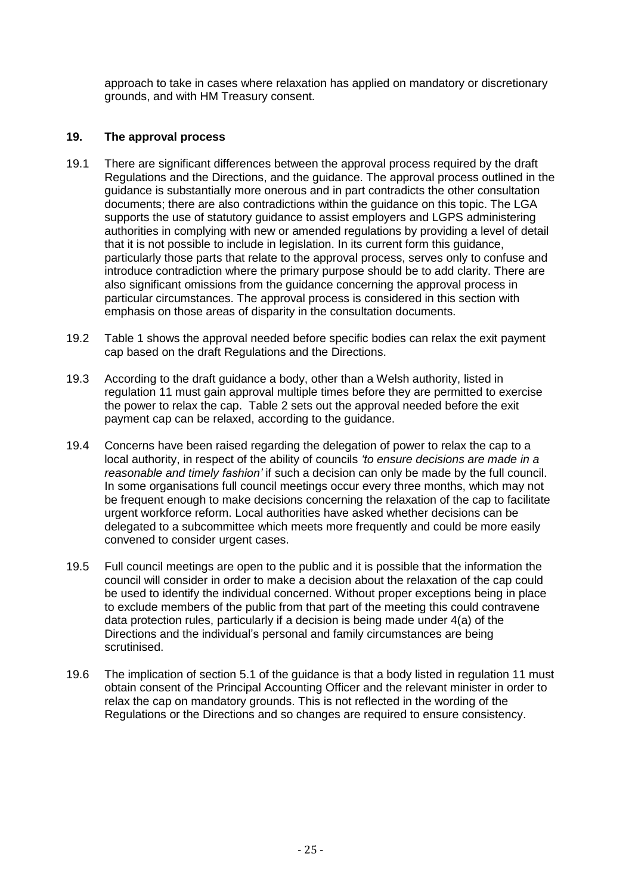approach to take in cases where relaxation has applied on mandatory or discretionary grounds, and with HM Treasury consent.

### **19. The approval process**

- 19.1 There are significant differences between the approval process required by the draft Regulations and the Directions, and the guidance. The approval process outlined in the guidance is substantially more onerous and in part contradicts the other consultation documents; there are also contradictions within the guidance on this topic. The LGA supports the use of statutory guidance to assist employers and LGPS administering authorities in complying with new or amended regulations by providing a level of detail that it is not possible to include in legislation. In its current form this guidance, particularly those parts that relate to the approval process, serves only to confuse and introduce contradiction where the primary purpose should be to add clarity. There are also significant omissions from the guidance concerning the approval process in particular circumstances. The approval process is considered in this section with emphasis on those areas of disparity in the consultation documents.
- 19.2 Table 1 shows the approval needed before specific bodies can relax the exit payment cap based on the draft Regulations and the Directions.
- 19.3 According to the draft guidance a body, other than a Welsh authority, listed in regulation 11 must gain approval multiple times before they are permitted to exercise the power to relax the cap. Table 2 sets out the approval needed before the exit payment cap can be relaxed, according to the guidance.
- 19.4 Concerns have been raised regarding the delegation of power to relax the cap to a local authority, in respect of the ability of councils *'to ensure decisions are made in a reasonable and timely fashion'* if such a decision can only be made by the full council. In some organisations full council meetings occur every three months, which may not be frequent enough to make decisions concerning the relaxation of the cap to facilitate urgent workforce reform. Local authorities have asked whether decisions can be delegated to a subcommittee which meets more frequently and could be more easily convened to consider urgent cases.
- 19.5 Full council meetings are open to the public and it is possible that the information the council will consider in order to make a decision about the relaxation of the cap could be used to identify the individual concerned. Without proper exceptions being in place to exclude members of the public from that part of the meeting this could contravene data protection rules, particularly if a decision is being made under 4(a) of the Directions and the individual's personal and family circumstances are being scrutinised.
- 19.6 The implication of section 5.1 of the guidance is that a body listed in regulation 11 must obtain consent of the Principal Accounting Officer and the relevant minister in order to relax the cap on mandatory grounds. This is not reflected in the wording of the Regulations or the Directions and so changes are required to ensure consistency.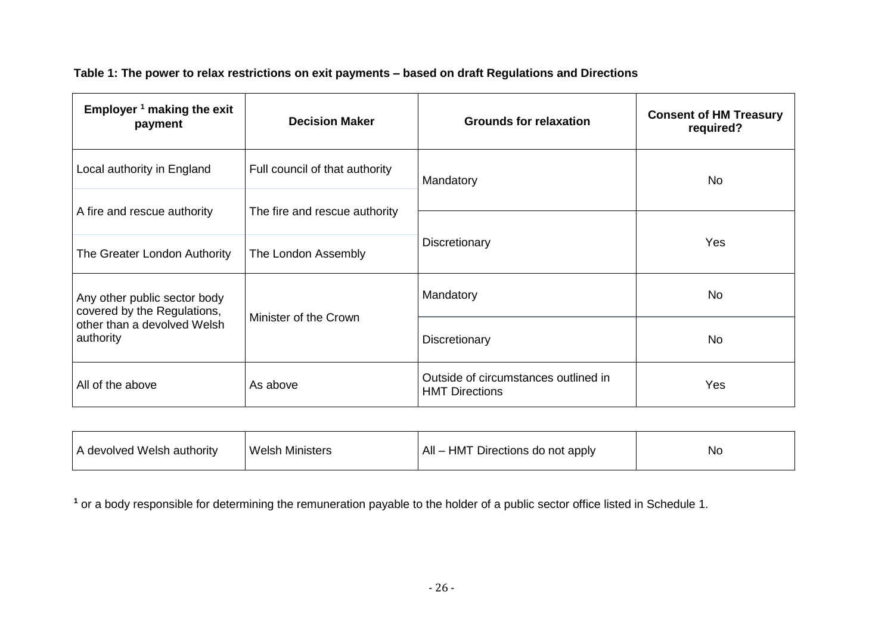| Table 1: The power to relax restrictions on exit payments - based on draft Regulations and Directions |  |  |
|-------------------------------------------------------------------------------------------------------|--|--|
|-------------------------------------------------------------------------------------------------------|--|--|

| Employer $1$ making the exit<br>payment                     | <b>Decision Maker</b>          | <b>Grounds for relaxation</b>                                 | <b>Consent of HM Treasury</b><br>required? |  |
|-------------------------------------------------------------|--------------------------------|---------------------------------------------------------------|--------------------------------------------|--|
| Local authority in England                                  | Full council of that authority | Mandatory                                                     | <b>No</b>                                  |  |
| A fire and rescue authority                                 | The fire and rescue authority  |                                                               |                                            |  |
| The Greater London Authority                                | The London Assembly            | Discretionary                                                 | Yes                                        |  |
| Any other public sector body<br>covered by the Regulations, |                                | Mandatory                                                     | <b>No</b>                                  |  |
| other than a devolved Welsh<br>authority                    | Minister of the Crown          | Discretionary                                                 | No.                                        |  |
| All of the above                                            | As above                       | Outside of circumstances outlined in<br><b>HMT Directions</b> | Yes                                        |  |

| <b>Welsh Ministers</b><br>A devolved Welsh authority | All – HMT Directions do not apply | Nc |
|------------------------------------------------------|-----------------------------------|----|
|------------------------------------------------------|-----------------------------------|----|

**<sup>1</sup>** or a body responsible for determining the remuneration payable to the holder of a public sector office listed in Schedule 1.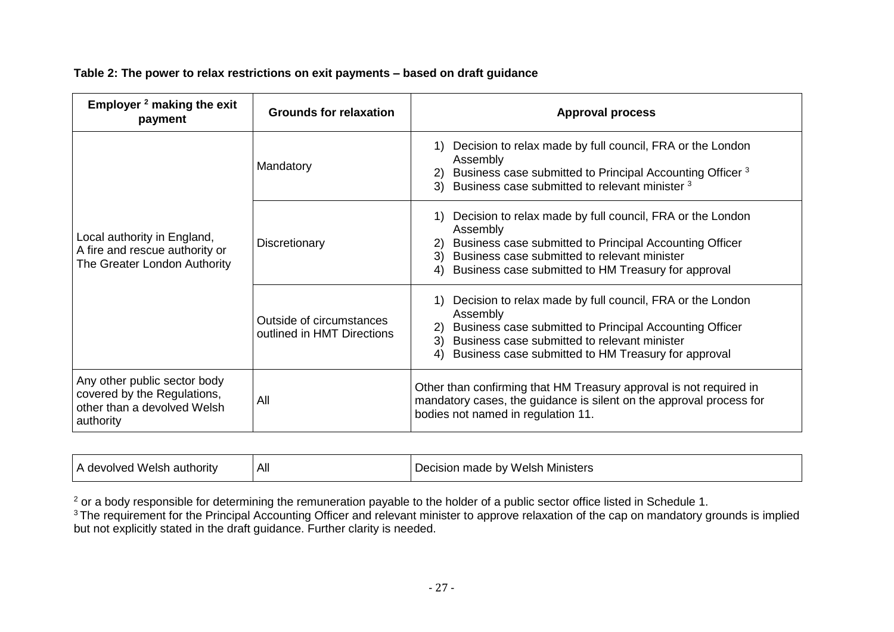### **Table 2: The power to relax restrictions on exit payments – based on draft guidance**

| Employer <sup>2</sup> making the exit<br>payment                                                        | <b>Grounds for relaxation</b>                          | <b>Approval process</b>                                                                                                                                                                                                                                         |  |
|---------------------------------------------------------------------------------------------------------|--------------------------------------------------------|-----------------------------------------------------------------------------------------------------------------------------------------------------------------------------------------------------------------------------------------------------------------|--|
|                                                                                                         | Mandatory                                              | Decision to relax made by full council, FRA or the London<br>1)<br>Assembly<br>Business case submitted to Principal Accounting Officer <sup>3</sup><br>2)<br>Business case submitted to relevant minister 3<br>3)                                               |  |
| Local authority in England,<br>A fire and rescue authority or<br>The Greater London Authority           | Discretionary                                          | Decision to relax made by full council, FRA or the London<br>1)<br>Assembly<br>Business case submitted to Principal Accounting Officer<br>2)<br>Business case submitted to relevant minister<br>3)<br>Business case submitted to HM Treasury for approval<br>4) |  |
|                                                                                                         | Outside of circumstances<br>outlined in HMT Directions | Decision to relax made by full council, FRA or the London<br>Assembly<br>Business case submitted to Principal Accounting Officer<br>2)<br>Business case submitted to relevant minister<br>3)<br>Business case submitted to HM Treasury for approval<br>4)       |  |
| Any other public sector body<br>covered by the Regulations,<br>other than a devolved Welsh<br>authority | All                                                    | Other than confirming that HM Treasury approval is not required in<br>mandatory cases, the guidance is silent on the approval process for<br>bodies not named in regulation 11.                                                                                 |  |

| devolved Welsh<br>, authority | ΔII | Decision made<br>. by Welsh ی<br>⊦Mınısters |
|-------------------------------|-----|---------------------------------------------|
|-------------------------------|-----|---------------------------------------------|

<sup>2</sup> or a body responsible for determining the remuneration payable to the holder of a public sector office listed in Schedule 1.

<sup>3</sup> The requirement for the Principal Accounting Officer and relevant minister to approve relaxation of the cap on mandatory grounds is implied but not explicitly stated in the draft guidance. Further clarity is needed.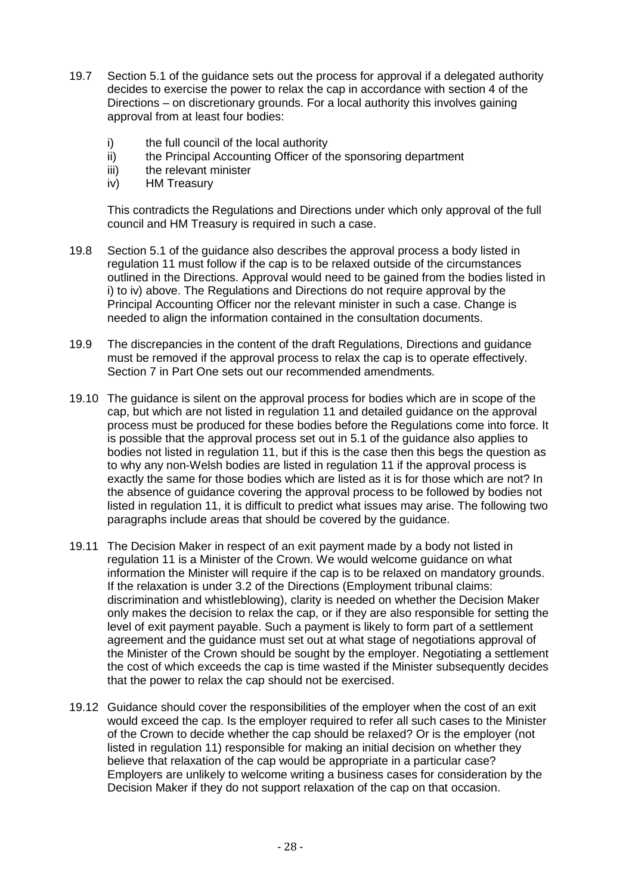- 19.7 Section 5.1 of the guidance sets out the process for approval if a delegated authority decides to exercise the power to relax the cap in accordance with section 4 of the Directions – on discretionary grounds. For a local authority this involves gaining approval from at least four bodies:
	- i) the full council of the local authority
	- ii) the Principal Accounting Officer of the sponsoring department
	- iii) the relevant minister
	- iv) HM Treasury

This contradicts the Regulations and Directions under which only approval of the full council and HM Treasury is required in such a case.

- 19.8 Section 5.1 of the guidance also describes the approval process a body listed in regulation 11 must follow if the cap is to be relaxed outside of the circumstances outlined in the Directions. Approval would need to be gained from the bodies listed in i) to iv) above. The Regulations and Directions do not require approval by the Principal Accounting Officer nor the relevant minister in such a case. Change is needed to align the information contained in the consultation documents.
- 19.9 The discrepancies in the content of the draft Regulations, Directions and guidance must be removed if the approval process to relax the cap is to operate effectively. Section 7 in Part One sets out our recommended amendments.
- 19.10 The guidance is silent on the approval process for bodies which are in scope of the cap, but which are not listed in regulation 11 and detailed guidance on the approval process must be produced for these bodies before the Regulations come into force. It is possible that the approval process set out in 5.1 of the guidance also applies to bodies not listed in regulation 11, but if this is the case then this begs the question as to why any non-Welsh bodies are listed in regulation 11 if the approval process is exactly the same for those bodies which are listed as it is for those which are not? In the absence of guidance covering the approval process to be followed by bodies not listed in regulation 11, it is difficult to predict what issues may arise. The following two paragraphs include areas that should be covered by the guidance.
- 19.11 The Decision Maker in respect of an exit payment made by a body not listed in regulation 11 is a Minister of the Crown. We would welcome guidance on what information the Minister will require if the cap is to be relaxed on mandatory grounds. If the relaxation is under 3.2 of the Directions (Employment tribunal claims: discrimination and whistleblowing), clarity is needed on whether the Decision Maker only makes the decision to relax the cap, or if they are also responsible for setting the level of exit payment payable. Such a payment is likely to form part of a settlement agreement and the guidance must set out at what stage of negotiations approval of the Minister of the Crown should be sought by the employer. Negotiating a settlement the cost of which exceeds the cap is time wasted if the Minister subsequently decides that the power to relax the cap should not be exercised.
- 19.12 Guidance should cover the responsibilities of the employer when the cost of an exit would exceed the cap. Is the employer required to refer all such cases to the Minister of the Crown to decide whether the cap should be relaxed? Or is the employer (not listed in regulation 11) responsible for making an initial decision on whether they believe that relaxation of the cap would be appropriate in a particular case? Employers are unlikely to welcome writing a business cases for consideration by the Decision Maker if they do not support relaxation of the cap on that occasion.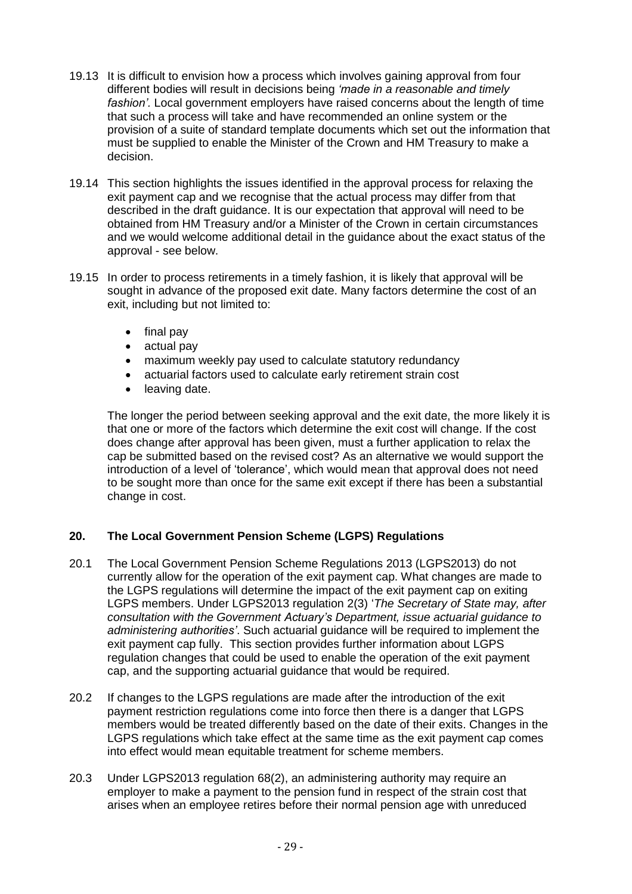- 19.13 It is difficult to envision how a process which involves gaining approval from four different bodies will result in decisions being *'made in a reasonable and timely fashion'.* Local government employers have raised concerns about the length of time that such a process will take and have recommended an online system or the provision of a suite of standard template documents which set out the information that must be supplied to enable the Minister of the Crown and HM Treasury to make a decision.
- 19.14 This section highlights the issues identified in the approval process for relaxing the exit payment cap and we recognise that the actual process may differ from that described in the draft guidance. It is our expectation that approval will need to be obtained from HM Treasury and/or a Minister of the Crown in certain circumstances and we would welcome additional detail in the guidance about the exact status of the approval - see below.
- 19.15 In order to process retirements in a timely fashion, it is likely that approval will be sought in advance of the proposed exit date. Many factors determine the cost of an exit, including but not limited to:
	- $\bullet$  final pay
	- actual pay
	- maximum weekly pay used to calculate statutory redundancy
	- actuarial factors used to calculate early retirement strain cost
	- leaving date.

The longer the period between seeking approval and the exit date, the more likely it is that one or more of the factors which determine the exit cost will change. If the cost does change after approval has been given, must a further application to relax the cap be submitted based on the revised cost? As an alternative we would support the introduction of a level of 'tolerance', which would mean that approval does not need to be sought more than once for the same exit except if there has been a substantial change in cost.

# **20. The Local Government Pension Scheme (LGPS) Regulations**

- 20.1 The Local Government Pension Scheme Regulations 2013 (LGPS2013) do not currently allow for the operation of the exit payment cap. What changes are made to the LGPS regulations will determine the impact of the exit payment cap on exiting LGPS members. Under LGPS2013 regulation 2(3) '*The Secretary of State may, after consultation with the Government Actuary's Department, issue actuarial guidance to administering authorities'*. Such actuarial guidance will be required to implement the exit payment cap fully. This section provides further information about LGPS regulation changes that could be used to enable the operation of the exit payment cap, and the supporting actuarial guidance that would be required.
- 20.2 If changes to the LGPS regulations are made after the introduction of the exit payment restriction regulations come into force then there is a danger that LGPS members would be treated differently based on the date of their exits. Changes in the LGPS regulations which take effect at the same time as the exit payment cap comes into effect would mean equitable treatment for scheme members.
- 20.3 Under LGPS2013 regulation 68(2), an administering authority may require an employer to make a payment to the pension fund in respect of the strain cost that arises when an employee retires before their normal pension age with unreduced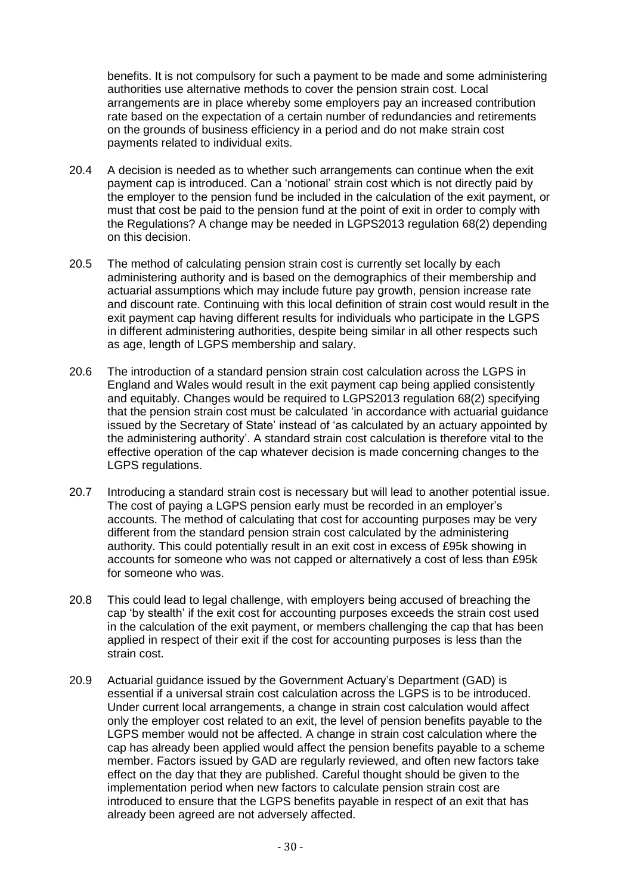benefits. It is not compulsory for such a payment to be made and some administering authorities use alternative methods to cover the pension strain cost. Local arrangements are in place whereby some employers pay an increased contribution rate based on the expectation of a certain number of redundancies and retirements on the grounds of business efficiency in a period and do not make strain cost payments related to individual exits.

- 20.4 A decision is needed as to whether such arrangements can continue when the exit payment cap is introduced. Can a 'notional' strain cost which is not directly paid by the employer to the pension fund be included in the calculation of the exit payment, or must that cost be paid to the pension fund at the point of exit in order to comply with the Regulations? A change may be needed in LGPS2013 regulation 68(2) depending on this decision.
- 20.5 The method of calculating pension strain cost is currently set locally by each administering authority and is based on the demographics of their membership and actuarial assumptions which may include future pay growth, pension increase rate and discount rate. Continuing with this local definition of strain cost would result in the exit payment cap having different results for individuals who participate in the LGPS in different administering authorities, despite being similar in all other respects such as age, length of LGPS membership and salary.
- 20.6 The introduction of a standard pension strain cost calculation across the LGPS in England and Wales would result in the exit payment cap being applied consistently and equitably. Changes would be required to LGPS2013 regulation 68(2) specifying that the pension strain cost must be calculated 'in accordance with actuarial guidance issued by the Secretary of State' instead of 'as calculated by an actuary appointed by the administering authority'. A standard strain cost calculation is therefore vital to the effective operation of the cap whatever decision is made concerning changes to the LGPS regulations.
- 20.7 Introducing a standard strain cost is necessary but will lead to another potential issue. The cost of paying a LGPS pension early must be recorded in an employer's accounts. The method of calculating that cost for accounting purposes may be very different from the standard pension strain cost calculated by the administering authority. This could potentially result in an exit cost in excess of £95k showing in accounts for someone who was not capped or alternatively a cost of less than £95k for someone who was.
- 20.8 This could lead to legal challenge, with employers being accused of breaching the cap 'by stealth' if the exit cost for accounting purposes exceeds the strain cost used in the calculation of the exit payment, or members challenging the cap that has been applied in respect of their exit if the cost for accounting purposes is less than the strain cost.
- 20.9 Actuarial guidance issued by the Government Actuary's Department (GAD) is essential if a universal strain cost calculation across the LGPS is to be introduced. Under current local arrangements, a change in strain cost calculation would affect only the employer cost related to an exit, the level of pension benefits payable to the LGPS member would not be affected. A change in strain cost calculation where the cap has already been applied would affect the pension benefits payable to a scheme member. Factors issued by GAD are regularly reviewed, and often new factors take effect on the day that they are published. Careful thought should be given to the implementation period when new factors to calculate pension strain cost are introduced to ensure that the LGPS benefits payable in respect of an exit that has already been agreed are not adversely affected.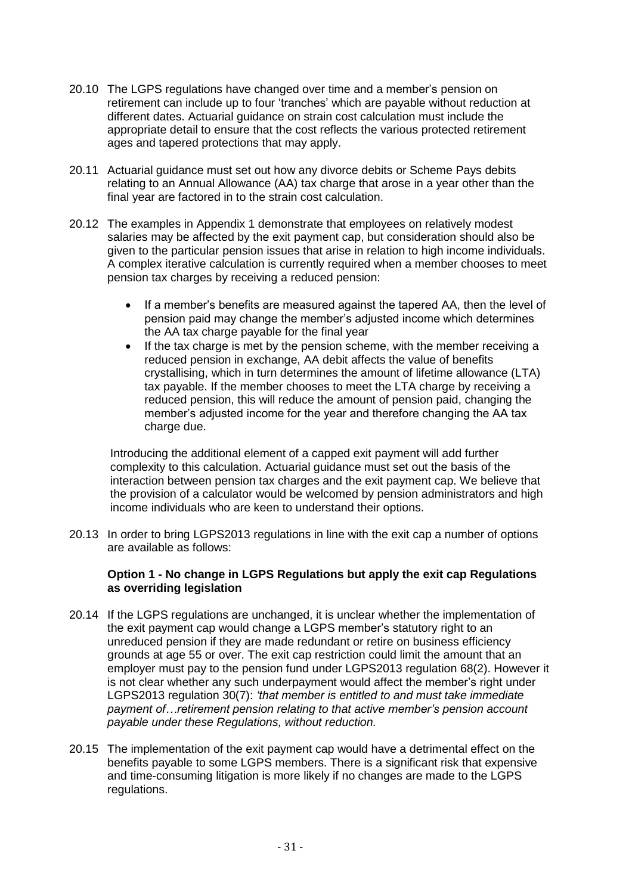- 20.10 The LGPS regulations have changed over time and a member's pension on retirement can include up to four 'tranches' which are payable without reduction at different dates. Actuarial guidance on strain cost calculation must include the appropriate detail to ensure that the cost reflects the various protected retirement ages and tapered protections that may apply.
- 20.11 Actuarial guidance must set out how any divorce debits or Scheme Pays debits relating to an Annual Allowance (AA) tax charge that arose in a year other than the final year are factored in to the strain cost calculation.
- 20.12 The examples in Appendix 1 demonstrate that employees on relatively modest salaries may be affected by the exit payment cap, but consideration should also be given to the particular pension issues that arise in relation to high income individuals. A complex iterative calculation is currently required when a member chooses to meet pension tax charges by receiving a reduced pension:
	- If a member's benefits are measured against the tapered AA, then the level of pension paid may change the member's adjusted income which determines the AA tax charge payable for the final year
	- If the tax charge is met by the pension scheme, with the member receiving a reduced pension in exchange, AA debit affects the value of benefits crystallising, which in turn determines the amount of lifetime allowance (LTA) tax payable. If the member chooses to meet the LTA charge by receiving a reduced pension, this will reduce the amount of pension paid, changing the member's adjusted income for the year and therefore changing the AA tax charge due.

Introducing the additional element of a capped exit payment will add further complexity to this calculation. Actuarial guidance must set out the basis of the interaction between pension tax charges and the exit payment cap. We believe that the provision of a calculator would be welcomed by pension administrators and high income individuals who are keen to understand their options.

20.13 In order to bring LGPS2013 regulations in line with the exit cap a number of options are available as follows:

#### **Option 1 - No change in LGPS Regulations but apply the exit cap Regulations as overriding legislation**

- 20.14 If the LGPS regulations are unchanged, it is unclear whether the implementation of the exit payment cap would change a LGPS member's statutory right to an unreduced pension if they are made redundant or retire on business efficiency grounds at age 55 or over. The exit cap restriction could limit the amount that an employer must pay to the pension fund under LGPS2013 regulation 68(2). However it is not clear whether any such underpayment would affect the member's right under LGPS2013 regulation 30(7): *'that member is entitled to and must take immediate payment of…retirement pension relating to that active member's pension account payable under these Regulations, without reduction.*
- 20.15 The implementation of the exit payment cap would have a detrimental effect on the benefits payable to some LGPS members. There is a significant risk that expensive and time-consuming litigation is more likely if no changes are made to the LGPS regulations.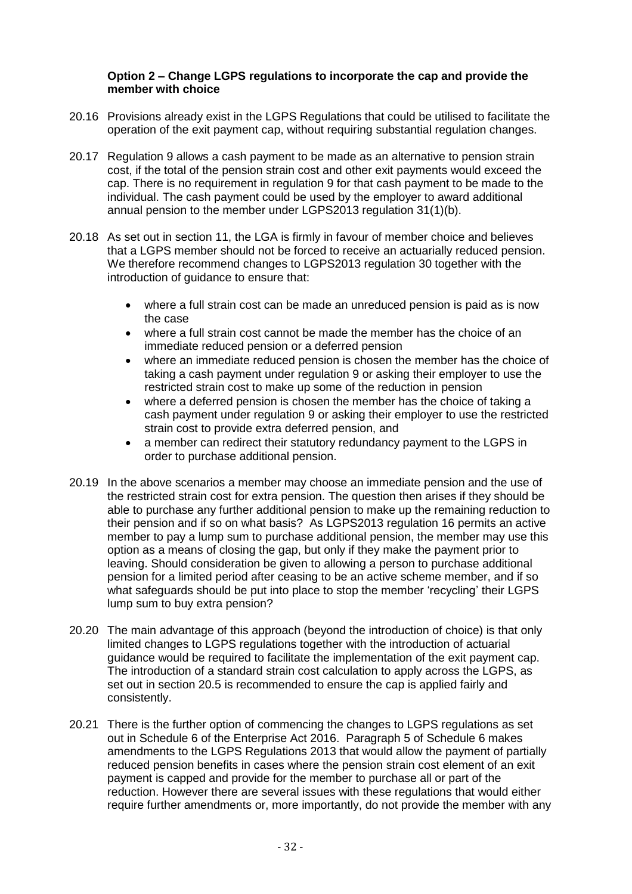#### **Option 2 – Change LGPS regulations to incorporate the cap and provide the member with choice**

- 20.16 Provisions already exist in the LGPS Regulations that could be utilised to facilitate the operation of the exit payment cap, without requiring substantial regulation changes.
- 20.17 Regulation 9 allows a cash payment to be made as an alternative to pension strain cost, if the total of the pension strain cost and other exit payments would exceed the cap. There is no requirement in regulation 9 for that cash payment to be made to the individual. The cash payment could be used by the employer to award additional annual pension to the member under LGPS2013 regulation 31(1)(b).
- 20.18 As set out in section 11, the LGA is firmly in favour of member choice and believes that a LGPS member should not be forced to receive an actuarially reduced pension. We therefore recommend changes to LGPS2013 regulation 30 together with the introduction of guidance to ensure that:
	- where a full strain cost can be made an unreduced pension is paid as is now the case
	- where a full strain cost cannot be made the member has the choice of an immediate reduced pension or a deferred pension
	- where an immediate reduced pension is chosen the member has the choice of taking a cash payment under regulation 9 or asking their employer to use the restricted strain cost to make up some of the reduction in pension
	- where a deferred pension is chosen the member has the choice of taking a cash payment under regulation 9 or asking their employer to use the restricted strain cost to provide extra deferred pension, and
	- a member can redirect their statutory redundancy payment to the LGPS in order to purchase additional pension.
- 20.19 In the above scenarios a member may choose an immediate pension and the use of the restricted strain cost for extra pension. The question then arises if they should be able to purchase any further additional pension to make up the remaining reduction to their pension and if so on what basis? As LGPS2013 regulation 16 permits an active member to pay a lump sum to purchase additional pension, the member may use this option as a means of closing the gap, but only if they make the payment prior to leaving. Should consideration be given to allowing a person to purchase additional pension for a limited period after ceasing to be an active scheme member, and if so what safeguards should be put into place to stop the member 'recycling' their LGPS lump sum to buy extra pension?
- 20.20 The main advantage of this approach (beyond the introduction of choice) is that only limited changes to LGPS regulations together with the introduction of actuarial guidance would be required to facilitate the implementation of the exit payment cap. The introduction of a standard strain cost calculation to apply across the LGPS, as set out in section 20.5 is recommended to ensure the cap is applied fairly and consistently.
- 20.21 There is the further option of commencing the changes to LGPS regulations as set out in Schedule 6 of the Enterprise Act 2016. Paragraph 5 of Schedule 6 makes amendments to the LGPS Regulations 2013 that would allow the payment of partially reduced pension benefits in cases where the pension strain cost element of an exit payment is capped and provide for the member to purchase all or part of the reduction. However there are several issues with these regulations that would either require further amendments or, more importantly, do not provide the member with any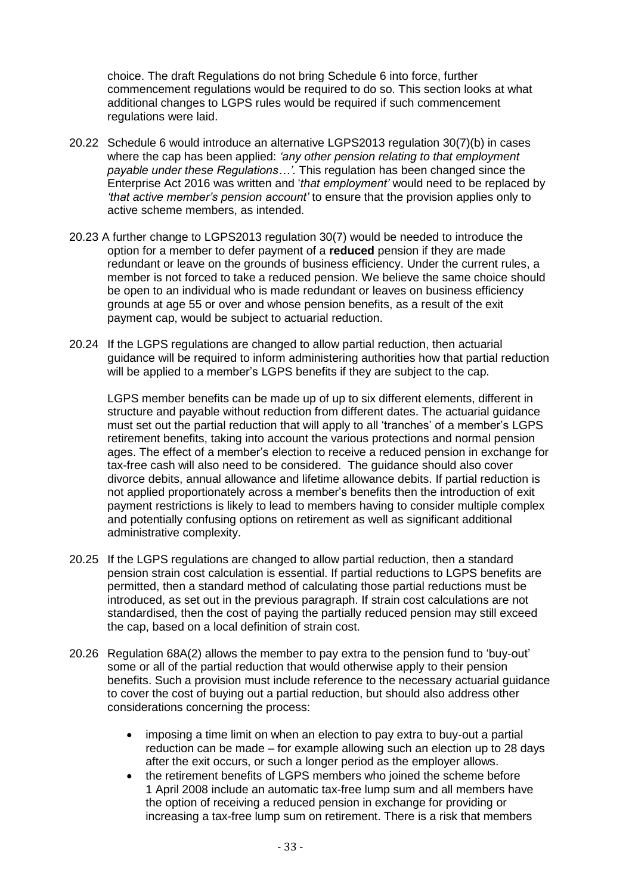choice. The draft Regulations do not bring Schedule 6 into force, further commencement regulations would be required to do so. This section looks at what additional changes to LGPS rules would be required if such commencement regulations were laid.

- 20.22 Schedule 6 would introduce an alternative LGPS2013 regulation 30(7)(b) in cases where the cap has been applied: *'any other pension relating to that employment payable under these Regulations…'*. This regulation has been changed since the Enterprise Act 2016 was written and '*that employment'* would need to be replaced by *'that active member's pension account'* to ensure that the provision applies only to active scheme members, as intended.
- 20.23 A further change to LGPS2013 regulation 30(7) would be needed to introduce the option for a member to defer payment of a **reduced** pension if they are made redundant or leave on the grounds of business efficiency. Under the current rules, a member is not forced to take a reduced pension. We believe the same choice should be open to an individual who is made redundant or leaves on business efficiency grounds at age 55 or over and whose pension benefits, as a result of the exit payment cap, would be subject to actuarial reduction.
- 20.24 If the LGPS regulations are changed to allow partial reduction, then actuarial guidance will be required to inform administering authorities how that partial reduction will be applied to a member's LGPS benefits if they are subject to the cap.

LGPS member benefits can be made up of up to six different elements, different in structure and payable without reduction from different dates. The actuarial guidance must set out the partial reduction that will apply to all 'tranches' of a member's LGPS retirement benefits, taking into account the various protections and normal pension ages. The effect of a member's election to receive a reduced pension in exchange for tax-free cash will also need to be considered. The guidance should also cover divorce debits, annual allowance and lifetime allowance debits. If partial reduction is not applied proportionately across a member's benefits then the introduction of exit payment restrictions is likely to lead to members having to consider multiple complex and potentially confusing options on retirement as well as significant additional administrative complexity.

- 20.25 If the LGPS regulations are changed to allow partial reduction, then a standard pension strain cost calculation is essential. If partial reductions to LGPS benefits are permitted, then a standard method of calculating those partial reductions must be introduced, as set out in the previous paragraph. If strain cost calculations are not standardised, then the cost of paying the partially reduced pension may still exceed the cap, based on a local definition of strain cost.
- 20.26 Regulation 68A(2) allows the member to pay extra to the pension fund to 'buy-out' some or all of the partial reduction that would otherwise apply to their pension benefits. Such a provision must include reference to the necessary actuarial guidance to cover the cost of buying out a partial reduction, but should also address other considerations concerning the process:
	- imposing a time limit on when an election to pay extra to buy-out a partial reduction can be made – for example allowing such an election up to 28 days after the exit occurs, or such a longer period as the employer allows.
	- the retirement benefits of LGPS members who joined the scheme before 1 April 2008 include an automatic tax-free lump sum and all members have the option of receiving a reduced pension in exchange for providing or increasing a tax-free lump sum on retirement. There is a risk that members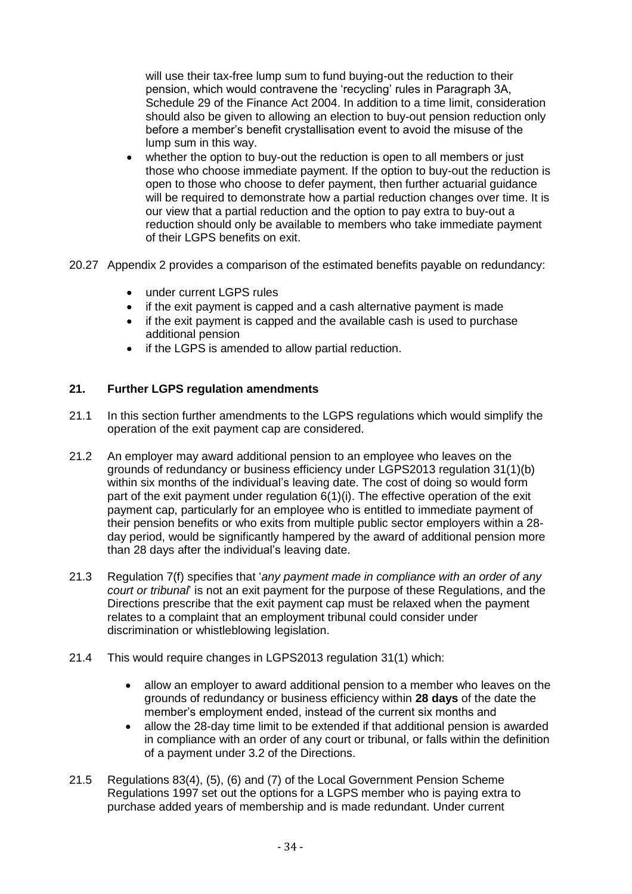will use their tax-free lump sum to fund buying-out the reduction to their pension, which would contravene the 'recycling' rules in Paragraph 3A, Schedule 29 of the Finance Act 2004. In addition to a time limit, consideration should also be given to allowing an election to buy-out pension reduction only before a member's benefit crystallisation event to avoid the misuse of the lump sum in this way.

- whether the option to buy-out the reduction is open to all members or just those who choose immediate payment. If the option to buy-out the reduction is open to those who choose to defer payment, then further actuarial guidance will be required to demonstrate how a partial reduction changes over time. It is our view that a partial reduction and the option to pay extra to buy-out a reduction should only be available to members who take immediate payment of their LGPS benefits on exit.
- 20.27 Appendix 2 provides a comparison of the estimated benefits payable on redundancy:
	- under current LGPS rules
	- if the exit payment is capped and a cash alternative payment is made
	- if the exit payment is capped and the available cash is used to purchase additional pension
	- if the LGPS is amended to allow partial reduction.

#### **21. Further LGPS regulation amendments**

- 21.1 In this section further amendments to the LGPS regulations which would simplify the operation of the exit payment cap are considered.
- 21.2 An employer may award additional pension to an employee who leaves on the grounds of redundancy or business efficiency under LGPS2013 regulation 31(1)(b) within six months of the individual's leaving date. The cost of doing so would form part of the exit payment under regulation 6(1)(i). The effective operation of the exit payment cap, particularly for an employee who is entitled to immediate payment of their pension benefits or who exits from multiple public sector employers within a 28 day period, would be significantly hampered by the award of additional pension more than 28 days after the individual's leaving date.
- 21.3 Regulation 7(f) specifies that '*any payment made in compliance with an order of any court or tribunal*' is not an exit payment for the purpose of these Regulations, and the Directions prescribe that the exit payment cap must be relaxed when the payment relates to a complaint that an employment tribunal could consider under discrimination or whistleblowing legislation.
- 21.4 This would require changes in LGPS2013 regulation 31(1) which:
	- allow an employer to award additional pension to a member who leaves on the grounds of redundancy or business efficiency within **28 days** of the date the member's employment ended, instead of the current six months and
	- allow the 28-day time limit to be extended if that additional pension is awarded in compliance with an order of any court or tribunal, or falls within the definition of a payment under 3.2 of the Directions.
- 21.5 Regulations 83(4), (5), (6) and (7) of the Local Government Pension Scheme Regulations 1997 set out the options for a LGPS member who is paying extra to purchase added years of membership and is made redundant. Under current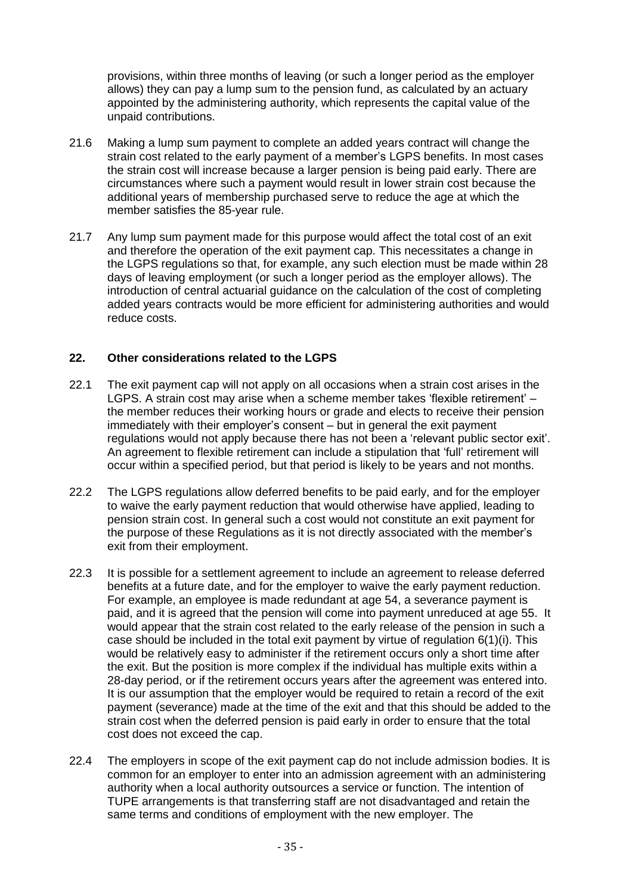provisions, within three months of leaving (or such a longer period as the employer allows) they can pay a lump sum to the pension fund, as calculated by an actuary appointed by the administering authority, which represents the capital value of the unpaid contributions.

- 21.6 Making a lump sum payment to complete an added years contract will change the strain cost related to the early payment of a member's LGPS benefits. In most cases the strain cost will increase because a larger pension is being paid early. There are circumstances where such a payment would result in lower strain cost because the additional years of membership purchased serve to reduce the age at which the member satisfies the 85-year rule.
- 21.7 Any lump sum payment made for this purpose would affect the total cost of an exit and therefore the operation of the exit payment cap. This necessitates a change in the LGPS regulations so that, for example, any such election must be made within 28 days of leaving employment (or such a longer period as the employer allows). The introduction of central actuarial guidance on the calculation of the cost of completing added years contracts would be more efficient for administering authorities and would reduce costs.

### **22. Other considerations related to the LGPS**

- 22.1 The exit payment cap will not apply on all occasions when a strain cost arises in the LGPS. A strain cost may arise when a scheme member takes 'flexible retirement' – the member reduces their working hours or grade and elects to receive their pension immediately with their employer's consent – but in general the exit payment regulations would not apply because there has not been a 'relevant public sector exit'. An agreement to flexible retirement can include a stipulation that 'full' retirement will occur within a specified period, but that period is likely to be years and not months.
- 22.2 The LGPS regulations allow deferred benefits to be paid early, and for the employer to waive the early payment reduction that would otherwise have applied, leading to pension strain cost. In general such a cost would not constitute an exit payment for the purpose of these Regulations as it is not directly associated with the member's exit from their employment.
- 22.3 It is possible for a settlement agreement to include an agreement to release deferred benefits at a future date, and for the employer to waive the early payment reduction. For example, an employee is made redundant at age 54, a severance payment is paid, and it is agreed that the pension will come into payment unreduced at age 55. It would appear that the strain cost related to the early release of the pension in such a case should be included in the total exit payment by virtue of regulation 6(1)(i). This would be relatively easy to administer if the retirement occurs only a short time after the exit. But the position is more complex if the individual has multiple exits within a 28-day period, or if the retirement occurs years after the agreement was entered into. It is our assumption that the employer would be required to retain a record of the exit payment (severance) made at the time of the exit and that this should be added to the strain cost when the deferred pension is paid early in order to ensure that the total cost does not exceed the cap.
- 22.4 The employers in scope of the exit payment cap do not include admission bodies. It is common for an employer to enter into an admission agreement with an administering authority when a local authority outsources a service or function. The intention of TUPE arrangements is that transferring staff are not disadvantaged and retain the same terms and conditions of employment with the new employer. The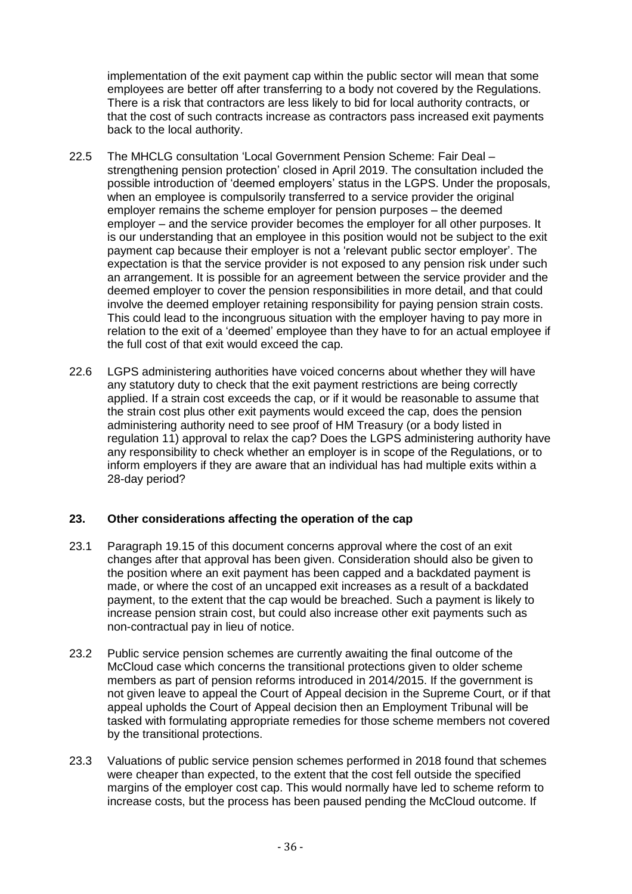implementation of the exit payment cap within the public sector will mean that some employees are better off after transferring to a body not covered by the Regulations. There is a risk that contractors are less likely to bid for local authority contracts, or that the cost of such contracts increase as contractors pass increased exit payments back to the local authority.

- 22.5 The MHCLG consultation 'Local Government Pension Scheme: Fair Deal strengthening pension protection' closed in April 2019. The consultation included the possible introduction of 'deemed employers' status in the LGPS. Under the proposals, when an employee is compulsorily transferred to a service provider the original employer remains the scheme employer for pension purposes – the deemed employer – and the service provider becomes the employer for all other purposes. It is our understanding that an employee in this position would not be subject to the exit payment cap because their employer is not a 'relevant public sector employer'. The expectation is that the service provider is not exposed to any pension risk under such an arrangement. It is possible for an agreement between the service provider and the deemed employer to cover the pension responsibilities in more detail, and that could involve the deemed employer retaining responsibility for paying pension strain costs. This could lead to the incongruous situation with the employer having to pay more in relation to the exit of a 'deemed' employee than they have to for an actual employee if the full cost of that exit would exceed the cap.
- 22.6 LGPS administering authorities have voiced concerns about whether they will have any statutory duty to check that the exit payment restrictions are being correctly applied. If a strain cost exceeds the cap, or if it would be reasonable to assume that the strain cost plus other exit payments would exceed the cap, does the pension administering authority need to see proof of HM Treasury (or a body listed in regulation 11) approval to relax the cap? Does the LGPS administering authority have any responsibility to check whether an employer is in scope of the Regulations, or to inform employers if they are aware that an individual has had multiple exits within a 28-day period?

### **23. Other considerations affecting the operation of the cap**

- 23.1 Paragraph 19.15 of this document concerns approval where the cost of an exit changes after that approval has been given. Consideration should also be given to the position where an exit payment has been capped and a backdated payment is made, or where the cost of an uncapped exit increases as a result of a backdated payment, to the extent that the cap would be breached. Such a payment is likely to increase pension strain cost, but could also increase other exit payments such as non-contractual pay in lieu of notice.
- 23.2 Public service pension schemes are currently awaiting the final outcome of the McCloud case which concerns the transitional protections given to older scheme members as part of pension reforms introduced in 2014/2015. If the government is not given leave to appeal the Court of Appeal decision in the Supreme Court, or if that appeal upholds the Court of Appeal decision then an Employment Tribunal will be tasked with formulating appropriate remedies for those scheme members not covered by the transitional protections.
- 23.3 Valuations of public service pension schemes performed in 2018 found that schemes were cheaper than expected, to the extent that the cost fell outside the specified margins of the employer cost cap. This would normally have led to scheme reform to increase costs, but the process has been paused pending the McCloud outcome. If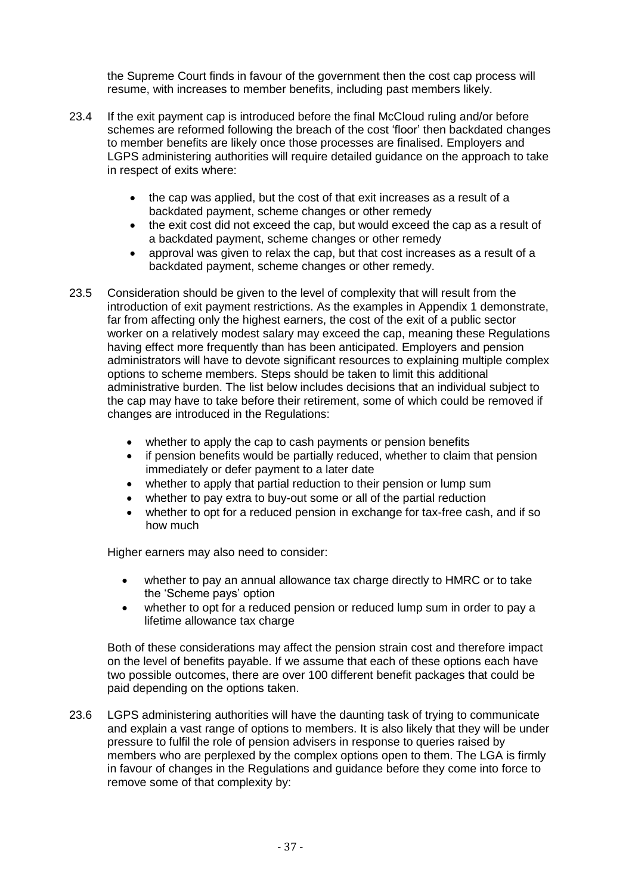the Supreme Court finds in favour of the government then the cost cap process will resume, with increases to member benefits, including past members likely.

- 23.4 If the exit payment cap is introduced before the final McCloud ruling and/or before schemes are reformed following the breach of the cost 'floor' then backdated changes to member benefits are likely once those processes are finalised. Employers and LGPS administering authorities will require detailed guidance on the approach to take in respect of exits where:
	- the cap was applied, but the cost of that exit increases as a result of a backdated payment, scheme changes or other remedy
	- the exit cost did not exceed the cap, but would exceed the cap as a result of a backdated payment, scheme changes or other remedy
	- approval was given to relax the cap, but that cost increases as a result of a backdated payment, scheme changes or other remedy.
- 23.5 Consideration should be given to the level of complexity that will result from the introduction of exit payment restrictions. As the examples in Appendix 1 demonstrate, far from affecting only the highest earners, the cost of the exit of a public sector worker on a relatively modest salary may exceed the cap, meaning these Regulations having effect more frequently than has been anticipated. Employers and pension administrators will have to devote significant resources to explaining multiple complex options to scheme members. Steps should be taken to limit this additional administrative burden. The list below includes decisions that an individual subject to the cap may have to take before their retirement, some of which could be removed if changes are introduced in the Regulations:
	- whether to apply the cap to cash payments or pension benefits
	- if pension benefits would be partially reduced, whether to claim that pension immediately or defer payment to a later date
	- whether to apply that partial reduction to their pension or lump sum
	- whether to pay extra to buy-out some or all of the partial reduction
	- whether to opt for a reduced pension in exchange for tax-free cash, and if so how much

Higher earners may also need to consider:

- whether to pay an annual allowance tax charge directly to HMRC or to take the 'Scheme pays' option
- whether to opt for a reduced pension or reduced lump sum in order to pay a lifetime allowance tax charge

Both of these considerations may affect the pension strain cost and therefore impact on the level of benefits payable. If we assume that each of these options each have two possible outcomes, there are over 100 different benefit packages that could be paid depending on the options taken.

23.6 LGPS administering authorities will have the daunting task of trying to communicate and explain a vast range of options to members. It is also likely that they will be under pressure to fulfil the role of pension advisers in response to queries raised by members who are perplexed by the complex options open to them. The LGA is firmly in favour of changes in the Regulations and guidance before they come into force to remove some of that complexity by: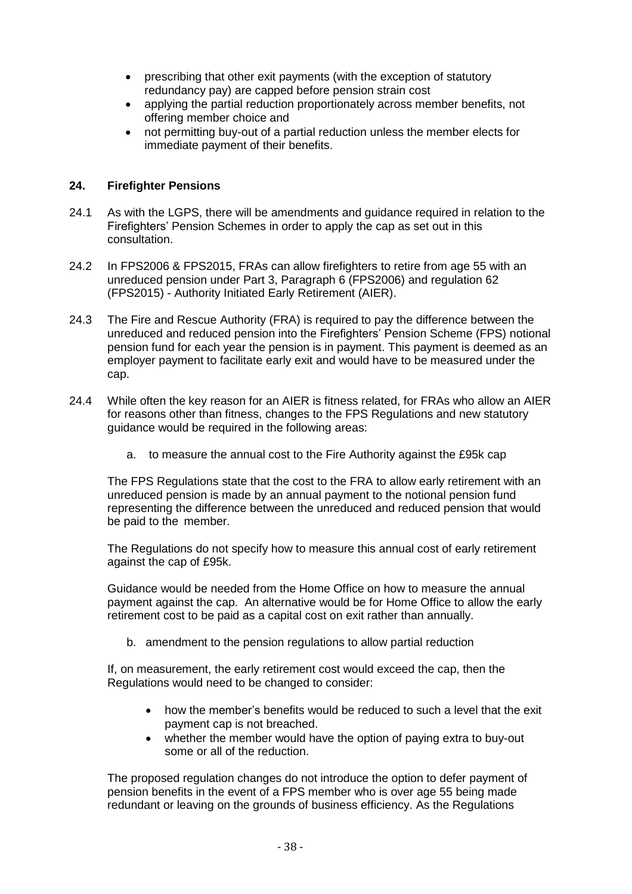- prescribing that other exit payments (with the exception of statutory redundancy pay) are capped before pension strain cost
- applying the partial reduction proportionately across member benefits, not offering member choice and
- not permitting buy-out of a partial reduction unless the member elects for immediate payment of their benefits.

### **24. Firefighter Pensions**

- 24.1 As with the LGPS, there will be amendments and guidance required in relation to the Firefighters' Pension Schemes in order to apply the cap as set out in this consultation.
- 24.2 In FPS2006 & FPS2015, FRAs can allow firefighters to retire from age 55 with an unreduced pension under Part 3, Paragraph 6 (FPS2006) and regulation 62 (FPS2015) - Authority Initiated Early Retirement (AIER).
- 24.3 The Fire and Rescue Authority (FRA) is required to pay the difference between the unreduced and reduced pension into the Firefighters' Pension Scheme (FPS) notional pension fund for each year the pension is in payment. This payment is deemed as an employer payment to facilitate early exit and would have to be measured under the cap.
- 24.4 While often the key reason for an AIER is fitness related, for FRAs who allow an AIER for reasons other than fitness, changes to the FPS Regulations and new statutory guidance would be required in the following areas:
	- a. to measure the annual cost to the Fire Authority against the £95k cap

The FPS Regulations state that the cost to the FRA to allow early retirement with an unreduced pension is made by an annual payment to the notional pension fund representing the difference between the unreduced and reduced pension that would be paid to the member.

The Regulations do not specify how to measure this annual cost of early retirement against the cap of £95k.

Guidance would be needed from the Home Office on how to measure the annual payment against the cap. An alternative would be for Home Office to allow the early retirement cost to be paid as a capital cost on exit rather than annually.

b. amendment to the pension regulations to allow partial reduction

If, on measurement, the early retirement cost would exceed the cap, then the Regulations would need to be changed to consider:

- how the member's benefits would be reduced to such a level that the exit payment cap is not breached.
- whether the member would have the option of paying extra to buy-out some or all of the reduction.

The proposed regulation changes do not introduce the option to defer payment of pension benefits in the event of a FPS member who is over age 55 being made redundant or leaving on the grounds of business efficiency. As the Regulations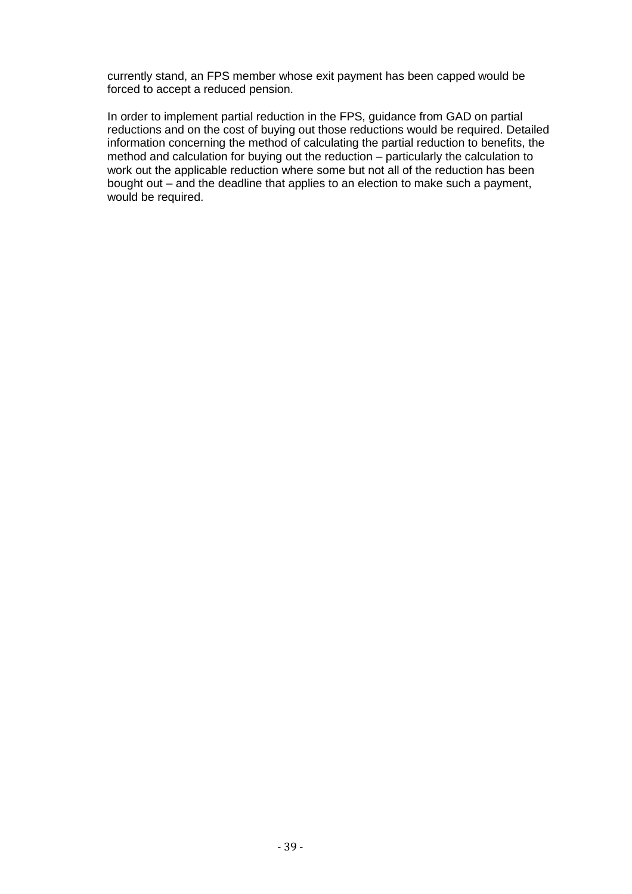currently stand, an FPS member whose exit payment has been capped would be forced to accept a reduced pension.

In order to implement partial reduction in the FPS, guidance from GAD on partial reductions and on the cost of buying out those reductions would be required. Detailed information concerning the method of calculating the partial reduction to benefits, the method and calculation for buying out the reduction – particularly the calculation to work out the applicable reduction where some but not all of the reduction has been bought out – and the deadline that applies to an election to make such a payment, would be required.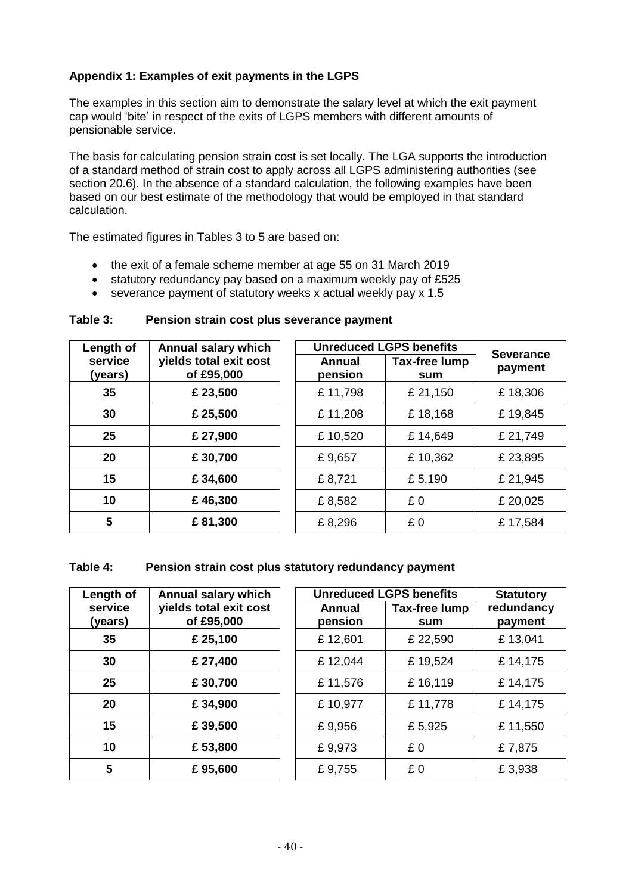# **Appendix 1: Examples of exit payments in the LGPS**

The examples in this section aim to demonstrate the salary level at which the exit payment cap would 'bite' in respect of the exits of LGPS members with different amounts of pensionable service.

The basis for calculating pension strain cost is set locally. The LGA supports the introduction of a standard method of strain cost to apply across all LGPS administering authorities (see section 20.6). In the absence of a standard calculation, the following examples have been based on our best estimate of the methodology that would be employed in that standard calculation.

The estimated figures in Tables 3 to 5 are based on:

- the exit of a female scheme member at age 55 on 31 March 2019
- statutory redundancy pay based on a maximum weekly pay of £525
- severance payment of statutory weeks x actual weekly pay x 1.5

| Length of          | Annual salary which                  | <b>Unreduced LGPS benefits</b> |                      | <b>Severance</b> |
|--------------------|--------------------------------------|--------------------------------|----------------------|------------------|
| service<br>(years) | yields total exit cost<br>of £95,000 | Annual<br>pension              | Tax-free lump<br>sum | payment          |
| 35                 | £ 23,500                             | £11,798                        | £ 21,150             | £18,306          |
| 30                 | £ 25,500                             | £11,208                        | £18,168              | £19,845          |
| 25                 | £ 27,900                             | £10,520                        | £14,649              | £ 21,749         |
| 20                 | £30,700                              | £9,657                         | £10,362              | £23,895          |
| 15                 | £34,600                              | £8,721                         | £5,190               | £21,945          |
| 10                 | £46,300                              | £8,582                         | £0                   | £20,025          |
| 5                  | £81,300                              | £8,296                         | £0                   | £17,584          |

#### **Table 3: Pension strain cost plus severance payment**

#### **Table 4: Pension strain cost plus statutory redundancy payment**

| Length of          | Annual salary which                  | <b>Unreduced LGPS benefits</b> | <b>Statutory</b>     |                       |
|--------------------|--------------------------------------|--------------------------------|----------------------|-----------------------|
| service<br>(years) | yields total exit cost<br>of £95,000 | Annual<br>pension              | Tax-free lump<br>sum | redundancy<br>payment |
|                    |                                      |                                |                      |                       |
| 35                 | £ 25,100                             | £12,601                        | £ 22,590             | £13,041               |
| 30                 | £ 27,400                             | £12,044                        | £19,524              | £14,175               |
| 25                 | £30,700                              | £11,576                        | £16,119              | £14,175               |
| 20                 | £34,900                              | £10,977                        | £11,778              | £14,175               |
| 15                 | £39,500                              | £9,956                         | £5,925               | £11,550               |
| 10                 | £53,800                              | £9,973                         | £0                   | £7,875                |
| 5                  | £95,600                              | £9,755                         | £0                   | £3,938                |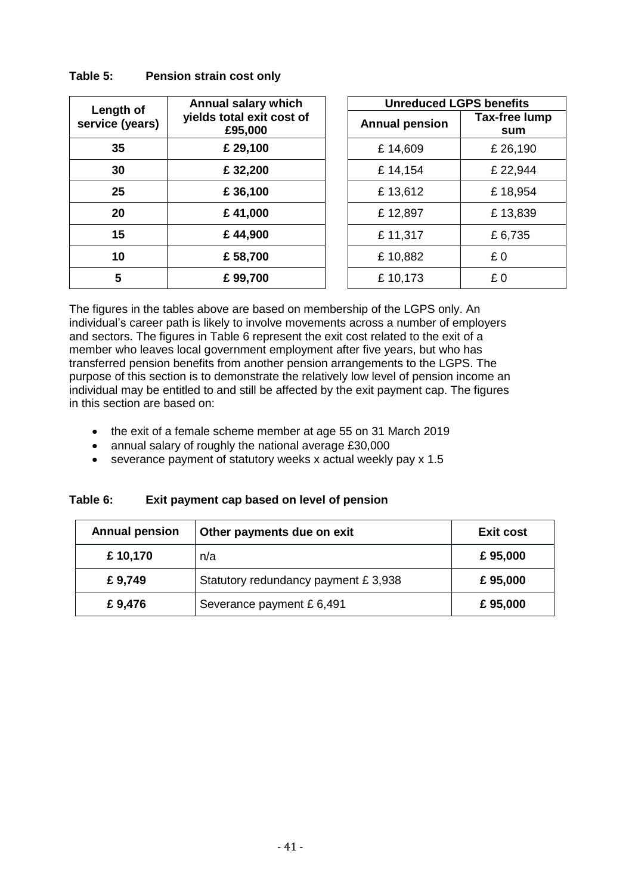| Length of       | Annual salary which                  | <b>Unreduced LGPS benefits</b> |                     |
|-----------------|--------------------------------------|--------------------------------|---------------------|
| service (years) | yields total exit cost of<br>£95,000 | <b>Annual pension</b>          | Tax-free lui<br>sum |
| 35              | £ 29,100                             | £14,609                        | £ 26,190            |
| 30              | £32,200                              | £14,154                        | £ 22,944            |
| 25              | £36,100                              | £13,612                        | £18,954             |
| 20              | £41,000                              | £12,897                        | £13,839             |
| 15              | £44,900                              | £11,317                        | £6,735              |
| 10              | £58,700                              | £10,882                        | £0                  |
| 5               | £99,700                              | £10,173                        | £0                  |

|                       | <b>Unreduced LGPS benefits</b> |  |  |  |
|-----------------------|--------------------------------|--|--|--|
| <b>Annual pension</b> | <b>Tax-free lump</b><br>sum    |  |  |  |
| £14,609               | £ 26,190                       |  |  |  |
| £14,154               | £22,944                        |  |  |  |
| £13,612               | £18,954                        |  |  |  |
| £12,897               | £13,839                        |  |  |  |
| £11,317               | £ 6,735                        |  |  |  |
| £10,882               | £ 0                            |  |  |  |
| £10,173               | £ 0                            |  |  |  |

The figures in the tables above are based on membership of the LGPS only. An individual's career path is likely to involve movements across a number of employers and sectors. The figures in Table 6 represent the exit cost related to the exit of a member who leaves local government employment after five years, but who has transferred pension benefits from another pension arrangements to the LGPS. The purpose of this section is to demonstrate the relatively low level of pension income an individual may be entitled to and still be affected by the exit payment cap. The figures in this section are based on:

- the exit of a female scheme member at age 55 on 31 March 2019
- annual salary of roughly the national average £30,000
- severance payment of statutory weeks x actual weekly pay x 1.5

| Table 6: | Exit payment cap based on level of pension |  |
|----------|--------------------------------------------|--|
|          |                                            |  |

| <b>Annual pension</b> | Other payments due on exit          | <b>Exit cost</b> |
|-----------------------|-------------------------------------|------------------|
| £10,170               | n/a                                 | £95,000          |
| £9,749                | Statutory redundancy payment £3,938 | £95,000          |
| £9,476                | Severance payment £6,491            | £95,000          |

# **Table 5: Pension strain cost only**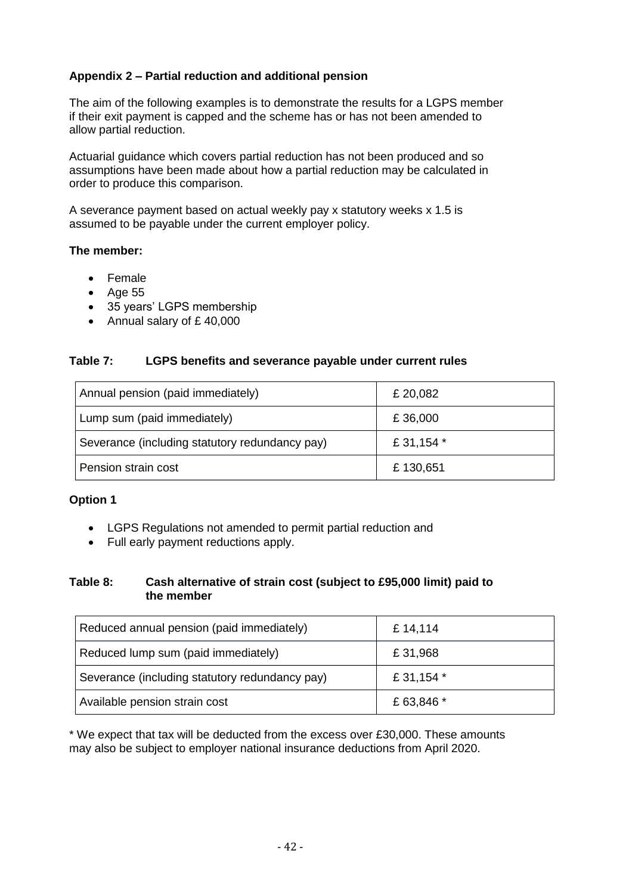# **Appendix 2 – Partial reduction and additional pension**

The aim of the following examples is to demonstrate the results for a LGPS member if their exit payment is capped and the scheme has or has not been amended to allow partial reduction.

Actuarial guidance which covers partial reduction has not been produced and so assumptions have been made about how a partial reduction may be calculated in order to produce this comparison.

A severance payment based on actual weekly pay x statutory weeks x 1.5 is assumed to be payable under the current employer policy.

### **The member:**

- Female
- $-A$ ge 55
- 35 years' LGPS membership
- Annual salary of £ 40,000

### **Table 7: LGPS benefits and severance payable under current rules**

| Annual pension (paid immediately)              | £ 20,082   |
|------------------------------------------------|------------|
| Lump sum (paid immediately)                    | £36,000    |
| Severance (including statutory redundancy pay) | £ 31,154 * |
| Pension strain cost                            | £130,651   |

#### **Option 1**

- LGPS Regulations not amended to permit partial reduction and
- Full early payment reductions apply.

#### **Table 8: Cash alternative of strain cost (subject to £95,000 limit) paid to the member**

| Reduced annual pension (paid immediately)      | £14,114    |
|------------------------------------------------|------------|
| Reduced lump sum (paid immediately)            | £31,968    |
| Severance (including statutory redundancy pay) | £ 31,154 * |
| Available pension strain cost                  | £ 63,846 * |

\* We expect that tax will be deducted from the excess over £30,000. These amounts may also be subject to employer national insurance deductions from April 2020.